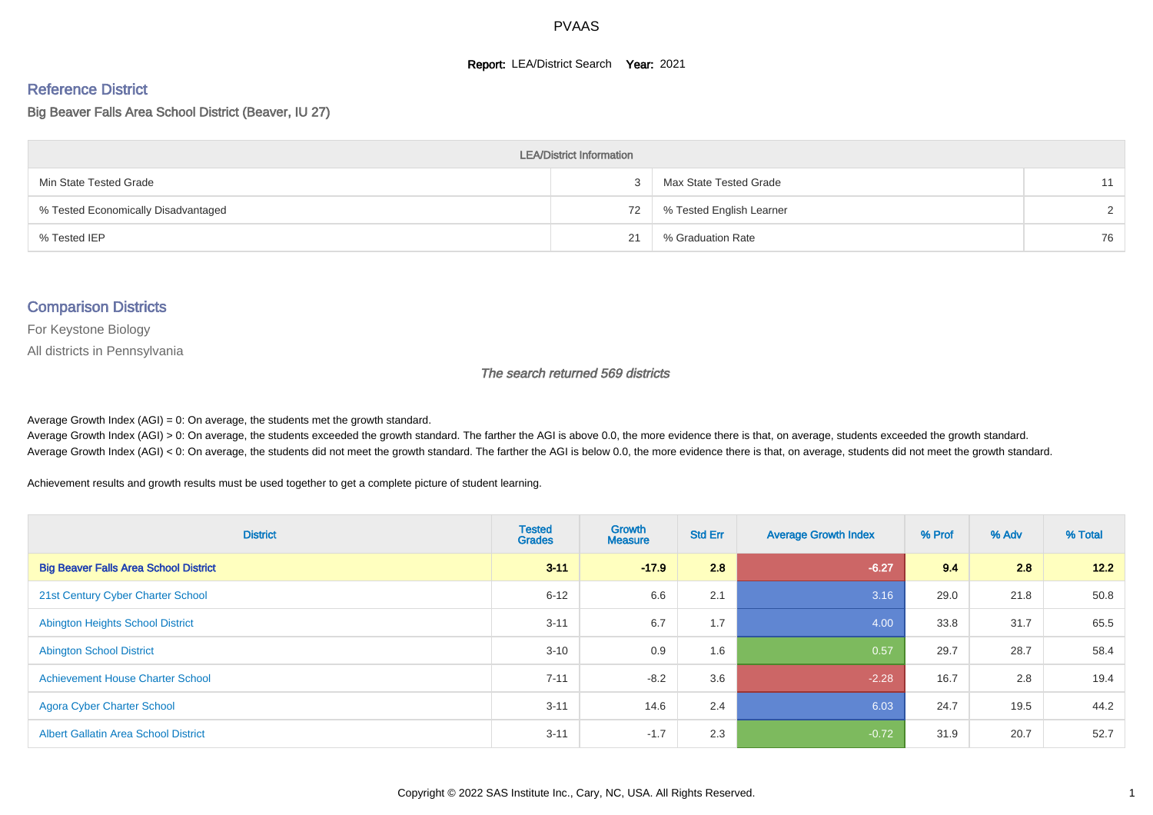#### **Report: LEA/District Search Year: 2021**

# Reference District

Big Beaver Falls Area School District (Beaver, IU 27)

| <b>LEA/District Information</b>     |    |                          |               |  |  |  |  |  |  |  |
|-------------------------------------|----|--------------------------|---------------|--|--|--|--|--|--|--|
| Min State Tested Grade              |    | Max State Tested Grade   | 11            |  |  |  |  |  |  |  |
| % Tested Economically Disadvantaged | 72 | % Tested English Learner | $\mathcal{D}$ |  |  |  |  |  |  |  |
| % Tested IEP                        | 21 | % Graduation Rate        | 76            |  |  |  |  |  |  |  |

#### Comparison Districts

For Keystone Biology

All districts in Pennsylvania

The search returned 569 districts

Average Growth Index  $(AGI) = 0$ : On average, the students met the growth standard.

Average Growth Index (AGI) > 0: On average, the students exceeded the growth standard. The farther the AGI is above 0.0, the more evidence there is that, on average, students exceeded the growth standard. Average Growth Index (AGI) < 0: On average, the students did not meet the growth standard. The farther the AGI is below 0.0, the more evidence there is that, on average, students did not meet the growth standard.

Achievement results and growth results must be used together to get a complete picture of student learning.

| <b>District</b>                              | <b>Tested</b><br><b>Grades</b> | Growth<br><b>Measure</b> | <b>Std Err</b> | <b>Average Growth Index</b> | % Prof | % Adv | % Total |
|----------------------------------------------|--------------------------------|--------------------------|----------------|-----------------------------|--------|-------|---------|
| <b>Big Beaver Falls Area School District</b> | $3 - 11$                       | $-17.9$                  | 2.8            | $-6.27$                     | 9.4    | 2.8   | 12.2    |
| 21st Century Cyber Charter School            | $6 - 12$                       | 6.6                      | 2.1            | 3.16                        | 29.0   | 21.8  | 50.8    |
| <b>Abington Heights School District</b>      | $3 - 11$                       | 6.7                      | 1.7            | 4.00                        | 33.8   | 31.7  | 65.5    |
| <b>Abington School District</b>              | $3 - 10$                       | 0.9                      | 1.6            | 0.57                        | 29.7   | 28.7  | 58.4    |
| <b>Achievement House Charter School</b>      | $7 - 11$                       | $-8.2$                   | 3.6            | $-2.28$                     | 16.7   | 2.8   | 19.4    |
| <b>Agora Cyber Charter School</b>            | $3 - 11$                       | 14.6                     | 2.4            | 6.03                        | 24.7   | 19.5  | 44.2    |
| <b>Albert Gallatin Area School District</b>  | $3 - 11$                       | $-1.7$                   | 2.3            | $-0.72$                     | 31.9   | 20.7  | 52.7    |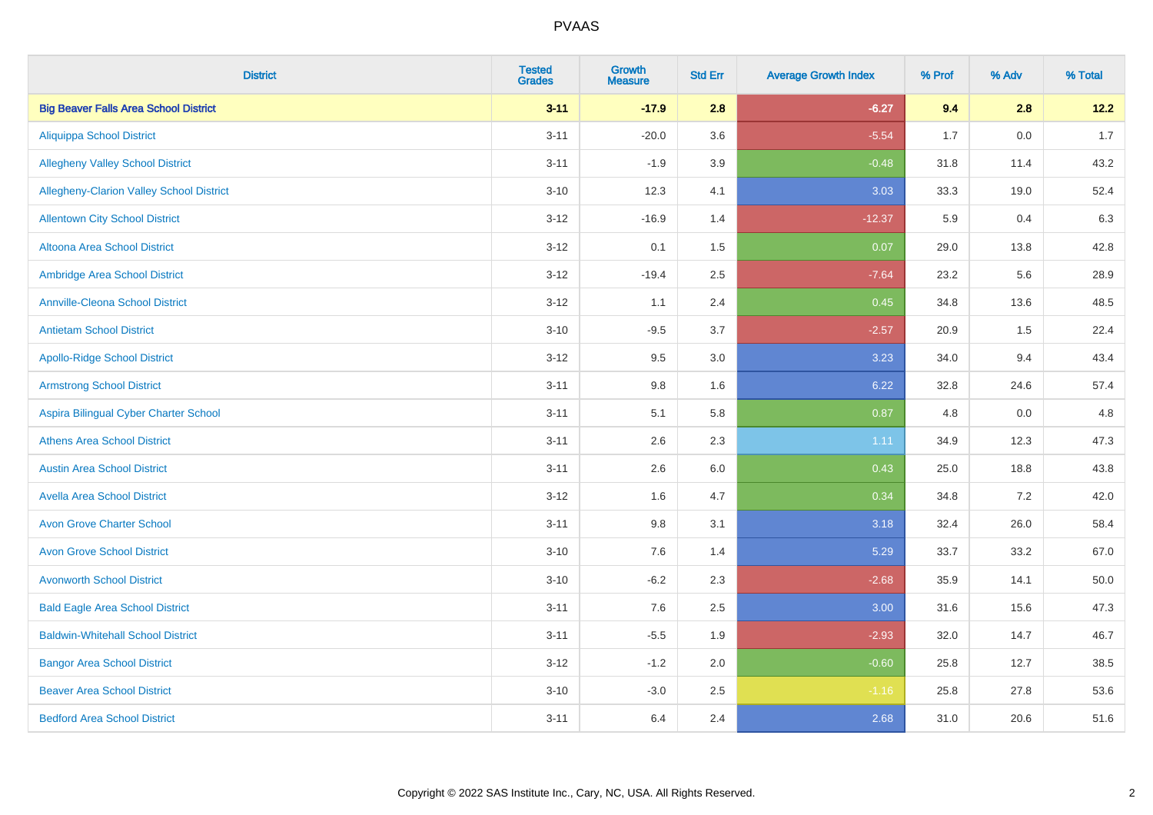| <b>District</b>                              | <b>Tested</b><br><b>Grades</b> | <b>Growth</b><br><b>Measure</b> | <b>Std Err</b> | <b>Average Growth Index</b> | % Prof | % Adv | % Total |
|----------------------------------------------|--------------------------------|---------------------------------|----------------|-----------------------------|--------|-------|---------|
| <b>Big Beaver Falls Area School District</b> | $3 - 11$                       | $-17.9$                         | 2.8            | $-6.27$                     | 9.4    | 2.8   | 12.2    |
| <b>Aliquippa School District</b>             | $3 - 11$                       | $-20.0$                         | 3.6            | $-5.54$                     | 1.7    | 0.0   | 1.7     |
| <b>Allegheny Valley School District</b>      | $3 - 11$                       | $-1.9$                          | 3.9            | $-0.48$                     | 31.8   | 11.4  | 43.2    |
| Allegheny-Clarion Valley School District     | $3 - 10$                       | 12.3                            | 4.1            | 3.03                        | 33.3   | 19.0  | 52.4    |
| <b>Allentown City School District</b>        | $3-12$                         | $-16.9$                         | 1.4            | $-12.37$                    | 5.9    | 0.4   | 6.3     |
| <b>Altoona Area School District</b>          | $3-12$                         | 0.1                             | 1.5            | 0.07                        | 29.0   | 13.8  | 42.8    |
| Ambridge Area School District                | $3 - 12$                       | $-19.4$                         | 2.5            | $-7.64$                     | 23.2   | 5.6   | 28.9    |
| <b>Annville-Cleona School District</b>       | $3 - 12$                       | 1.1                             | 2.4            | 0.45                        | 34.8   | 13.6  | 48.5    |
| <b>Antietam School District</b>              | $3 - 10$                       | $-9.5$                          | 3.7            | $-2.57$                     | 20.9   | 1.5   | 22.4    |
| <b>Apollo-Ridge School District</b>          | $3 - 12$                       | 9.5                             | 3.0            | 3.23                        | 34.0   | 9.4   | 43.4    |
| <b>Armstrong School District</b>             | $3 - 11$                       | $9.8\,$                         | 1.6            | 6.22                        | 32.8   | 24.6  | 57.4    |
| Aspira Bilingual Cyber Charter School        | $3 - 11$                       | 5.1                             | 5.8            | 0.87                        | 4.8    | 0.0   | 4.8     |
| <b>Athens Area School District</b>           | $3 - 11$                       | 2.6                             | 2.3            | 1.11                        | 34.9   | 12.3  | 47.3    |
| <b>Austin Area School District</b>           | $3 - 11$                       | 2.6                             | 6.0            | 0.43                        | 25.0   | 18.8  | 43.8    |
| <b>Avella Area School District</b>           | $3 - 12$                       | 1.6                             | 4.7            | 0.34                        | 34.8   | 7.2   | 42.0    |
| <b>Avon Grove Charter School</b>             | $3 - 11$                       | 9.8                             | 3.1            | 3.18                        | 32.4   | 26.0  | 58.4    |
| <b>Avon Grove School District</b>            | $3 - 10$                       | 7.6                             | 1.4            | 5.29                        | 33.7   | 33.2  | 67.0    |
| <b>Avonworth School District</b>             | $3 - 10$                       | $-6.2$                          | 2.3            | $-2.68$                     | 35.9   | 14.1  | 50.0    |
| <b>Bald Eagle Area School District</b>       | $3 - 11$                       | 7.6                             | 2.5            | 3.00                        | 31.6   | 15.6  | 47.3    |
| <b>Baldwin-Whitehall School District</b>     | $3 - 11$                       | $-5.5$                          | 1.9            | $-2.93$                     | 32.0   | 14.7  | 46.7    |
| <b>Bangor Area School District</b>           | $3 - 12$                       | $-1.2$                          | 2.0            | $-0.60$                     | 25.8   | 12.7  | 38.5    |
| <b>Beaver Area School District</b>           | $3 - 10$                       | $-3.0$                          | 2.5            | $-1.16$                     | 25.8   | 27.8  | 53.6    |
| <b>Bedford Area School District</b>          | $3 - 11$                       | 6.4                             | 2.4            | 2.68                        | 31.0   | 20.6  | 51.6    |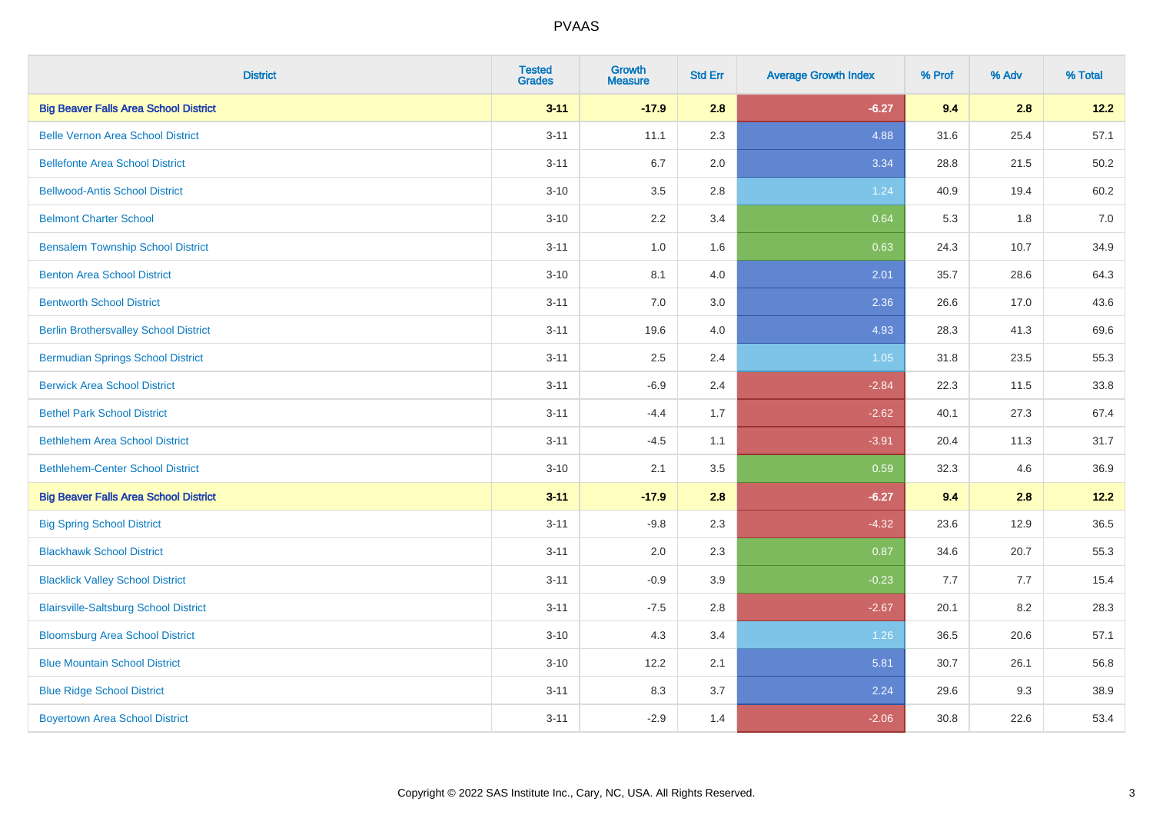| <b>District</b>                              | <b>Tested</b><br><b>Grades</b> | <b>Growth</b><br><b>Measure</b> | <b>Std Err</b> | <b>Average Growth Index</b> | % Prof | % Adv | % Total |
|----------------------------------------------|--------------------------------|---------------------------------|----------------|-----------------------------|--------|-------|---------|
| <b>Big Beaver Falls Area School District</b> | $3 - 11$                       | $-17.9$                         | 2.8            | $-6.27$                     | 9.4    | 2.8   | 12.2    |
| <b>Belle Vernon Area School District</b>     | $3 - 11$                       | 11.1                            | 2.3            | 4.88                        | 31.6   | 25.4  | 57.1    |
| <b>Bellefonte Area School District</b>       | $3 - 11$                       | 6.7                             | 2.0            | 3.34                        | 28.8   | 21.5  | 50.2    |
| <b>Bellwood-Antis School District</b>        | $3 - 10$                       | 3.5                             | 2.8            | 1.24                        | 40.9   | 19.4  | 60.2    |
| <b>Belmont Charter School</b>                | $3 - 10$                       | 2.2                             | 3.4            | 0.64                        | 5.3    | 1.8   | 7.0     |
| <b>Bensalem Township School District</b>     | $3 - 11$                       | $1.0\,$                         | 1.6            | 0.63                        | 24.3   | 10.7  | 34.9    |
| <b>Benton Area School District</b>           | $3 - 10$                       | 8.1                             | 4.0            | 2.01                        | 35.7   | 28.6  | 64.3    |
| <b>Bentworth School District</b>             | $3 - 11$                       | 7.0                             | 3.0            | 2.36                        | 26.6   | 17.0  | 43.6    |
| <b>Berlin Brothersvalley School District</b> | $3 - 11$                       | 19.6                            | 4.0            | 4.93                        | 28.3   | 41.3  | 69.6    |
| <b>Bermudian Springs School District</b>     | $3 - 11$                       | 2.5                             | 2.4            | 1.05                        | 31.8   | 23.5  | 55.3    |
| <b>Berwick Area School District</b>          | $3 - 11$                       | $-6.9$                          | 2.4            | $-2.84$                     | 22.3   | 11.5  | 33.8    |
| <b>Bethel Park School District</b>           | $3 - 11$                       | $-4.4$                          | 1.7            | $-2.62$                     | 40.1   | 27.3  | 67.4    |
| <b>Bethlehem Area School District</b>        | $3 - 11$                       | $-4.5$                          | 1.1            | $-3.91$                     | 20.4   | 11.3  | 31.7    |
| <b>Bethlehem-Center School District</b>      | $3 - 10$                       | 2.1                             | 3.5            | 0.59                        | 32.3   | 4.6   | 36.9    |
| <b>Big Beaver Falls Area School District</b> | $3 - 11$                       | $-17.9$                         | 2.8            | $-6.27$                     | 9.4    | 2.8   | 12.2    |
| <b>Big Spring School District</b>            | $3 - 11$                       | $-9.8$                          | 2.3            | $-4.32$                     | 23.6   | 12.9  | 36.5    |
| <b>Blackhawk School District</b>             | $3 - 11$                       | 2.0                             | 2.3            | 0.87                        | 34.6   | 20.7  | 55.3    |
| <b>Blacklick Valley School District</b>      | $3 - 11$                       | $-0.9$                          | 3.9            | $-0.23$                     | 7.7    | 7.7   | 15.4    |
| <b>Blairsville-Saltsburg School District</b> | $3 - 11$                       | $-7.5$                          | 2.8            | $-2.67$                     | 20.1   | 8.2   | 28.3    |
| <b>Bloomsburg Area School District</b>       | $3 - 10$                       | 4.3                             | 3.4            | 1.26                        | 36.5   | 20.6  | 57.1    |
| <b>Blue Mountain School District</b>         | $3 - 10$                       | 12.2                            | 2.1            | 5.81                        | 30.7   | 26.1  | 56.8    |
| <b>Blue Ridge School District</b>            | $3 - 11$                       | 8.3                             | 3.7            | 2.24                        | 29.6   | 9.3   | 38.9    |
| <b>Boyertown Area School District</b>        | $3 - 11$                       | $-2.9$                          | 1.4            | $-2.06$                     | 30.8   | 22.6  | 53.4    |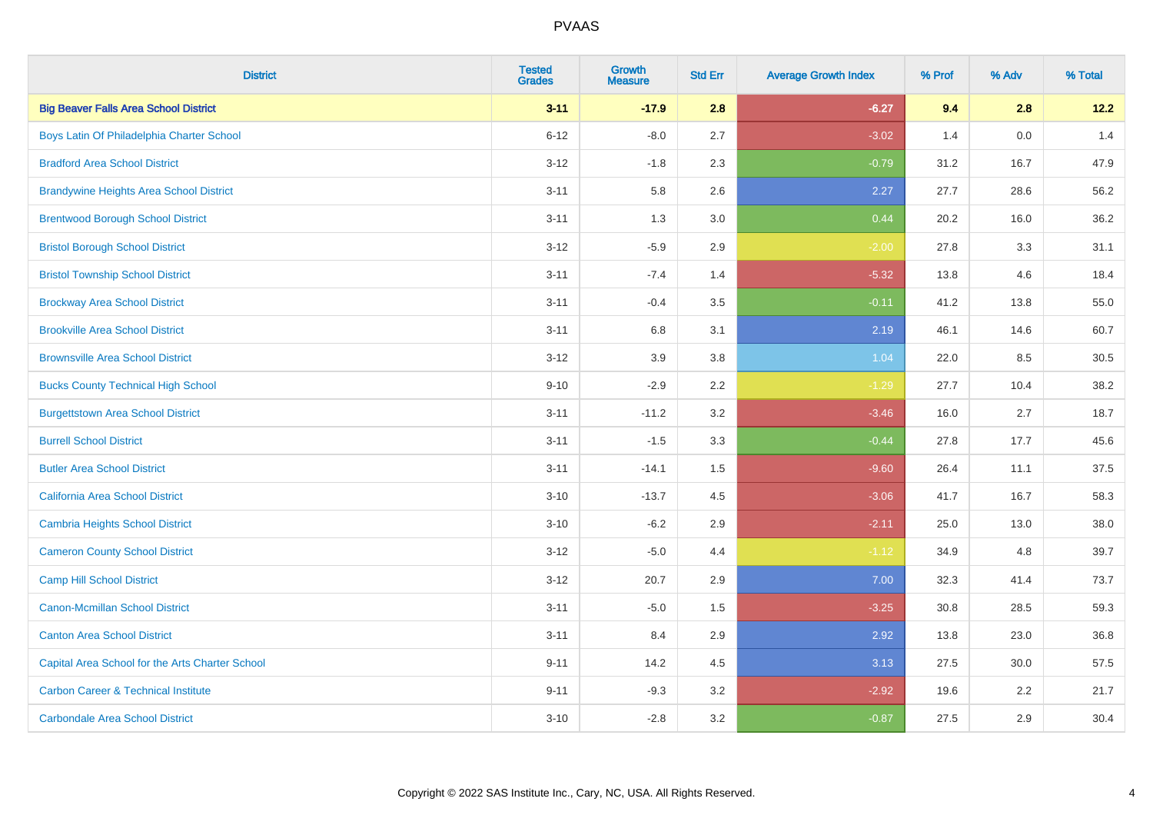| <b>District</b>                                 | <b>Tested</b><br><b>Grades</b> | <b>Growth</b><br><b>Measure</b> | <b>Std Err</b> | <b>Average Growth Index</b> | % Prof | % Adv | % Total |
|-------------------------------------------------|--------------------------------|---------------------------------|----------------|-----------------------------|--------|-------|---------|
| <b>Big Beaver Falls Area School District</b>    | $3 - 11$                       | $-17.9$                         | 2.8            | $-6.27$                     | 9.4    | 2.8   | 12.2    |
| Boys Latin Of Philadelphia Charter School       | $6 - 12$                       | $-8.0$                          | 2.7            | $-3.02$                     | 1.4    | 0.0   | 1.4     |
| <b>Bradford Area School District</b>            | $3 - 12$                       | $-1.8$                          | 2.3            | $-0.79$                     | 31.2   | 16.7  | 47.9    |
| <b>Brandywine Heights Area School District</b>  | $3 - 11$                       | 5.8                             | 2.6            | 2.27                        | 27.7   | 28.6  | 56.2    |
| <b>Brentwood Borough School District</b>        | $3 - 11$                       | 1.3                             | 3.0            | 0.44                        | 20.2   | 16.0  | 36.2    |
| <b>Bristol Borough School District</b>          | $3 - 12$                       | $-5.9$                          | 2.9            | $-2.00$                     | 27.8   | 3.3   | 31.1    |
| <b>Bristol Township School District</b>         | $3 - 11$                       | $-7.4$                          | 1.4            | $-5.32$                     | 13.8   | 4.6   | 18.4    |
| <b>Brockway Area School District</b>            | $3 - 11$                       | $-0.4$                          | 3.5            | $-0.11$                     | 41.2   | 13.8  | 55.0    |
| <b>Brookville Area School District</b>          | $3 - 11$                       | 6.8                             | 3.1            | 2.19                        | 46.1   | 14.6  | 60.7    |
| <b>Brownsville Area School District</b>         | $3 - 12$                       | 3.9                             | 3.8            | 1.04                        | 22.0   | 8.5   | 30.5    |
| <b>Bucks County Technical High School</b>       | $9 - 10$                       | $-2.9$                          | 2.2            | $-1.29$                     | 27.7   | 10.4  | 38.2    |
| <b>Burgettstown Area School District</b>        | $3 - 11$                       | $-11.2$                         | 3.2            | $-3.46$                     | 16.0   | 2.7   | 18.7    |
| <b>Burrell School District</b>                  | $3 - 11$                       | $-1.5$                          | 3.3            | $-0.44$                     | 27.8   | 17.7  | 45.6    |
| <b>Butler Area School District</b>              | $3 - 11$                       | $-14.1$                         | 1.5            | $-9.60$                     | 26.4   | 11.1  | 37.5    |
| California Area School District                 | $3 - 10$                       | $-13.7$                         | 4.5            | $-3.06$                     | 41.7   | 16.7  | 58.3    |
| <b>Cambria Heights School District</b>          | $3 - 10$                       | $-6.2$                          | 2.9            | $-2.11$                     | 25.0   | 13.0  | 38.0    |
| <b>Cameron County School District</b>           | $3 - 12$                       | $-5.0$                          | 4.4            | $-1.12$                     | 34.9   | 4.8   | 39.7    |
| <b>Camp Hill School District</b>                | $3 - 12$                       | 20.7                            | 2.9            | 7.00                        | 32.3   | 41.4  | 73.7    |
| <b>Canon-Mcmillan School District</b>           | $3 - 11$                       | $-5.0$                          | $1.5\,$        | $-3.25$                     | 30.8   | 28.5  | 59.3    |
| <b>Canton Area School District</b>              | $3 - 11$                       | 8.4                             | 2.9            | 2.92                        | 13.8   | 23.0  | 36.8    |
| Capital Area School for the Arts Charter School | $9 - 11$                       | 14.2                            | 4.5            | 3.13                        | 27.5   | 30.0  | 57.5    |
| <b>Carbon Career &amp; Technical Institute</b>  | $9 - 11$                       | $-9.3$                          | 3.2            | $-2.92$                     | 19.6   | 2.2   | 21.7    |
| <b>Carbondale Area School District</b>          | $3 - 10$                       | $-2.8$                          | 3.2            | $-0.87$                     | 27.5   | 2.9   | 30.4    |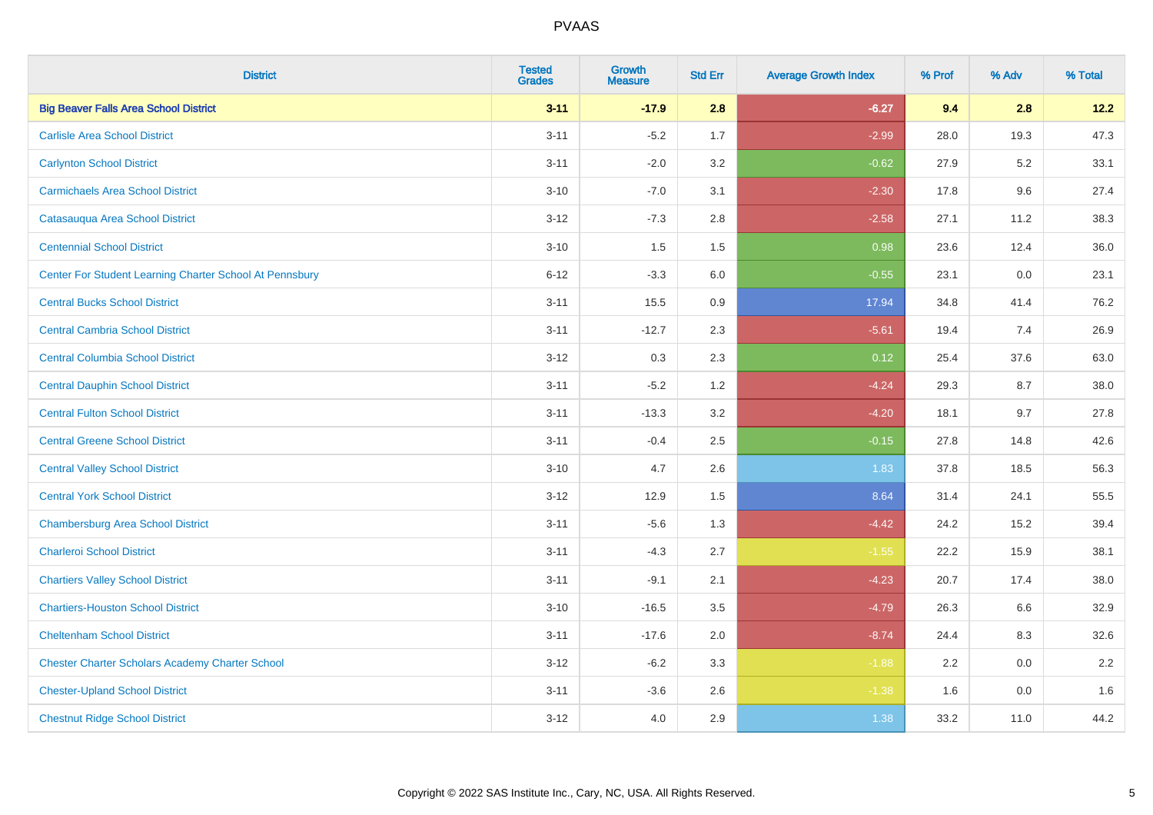| <b>District</b>                                         | <b>Tested</b><br><b>Grades</b> | <b>Growth</b><br><b>Measure</b> | <b>Std Err</b> | <b>Average Growth Index</b> | % Prof | % Adv | % Total |
|---------------------------------------------------------|--------------------------------|---------------------------------|----------------|-----------------------------|--------|-------|---------|
| <b>Big Beaver Falls Area School District</b>            | $3 - 11$                       | $-17.9$                         | 2.8            | $-6.27$                     | 9.4    | 2.8   | 12.2    |
| <b>Carlisle Area School District</b>                    | $3 - 11$                       | $-5.2$                          | 1.7            | $-2.99$                     | 28.0   | 19.3  | 47.3    |
| <b>Carlynton School District</b>                        | $3 - 11$                       | $-2.0$                          | 3.2            | $-0.62$                     | 27.9   | 5.2   | 33.1    |
| <b>Carmichaels Area School District</b>                 | $3 - 10$                       | $-7.0$                          | 3.1            | $-2.30$                     | 17.8   | 9.6   | 27.4    |
| Catasauqua Area School District                         | $3 - 12$                       | $-7.3$                          | 2.8            | $-2.58$                     | 27.1   | 11.2  | 38.3    |
| <b>Centennial School District</b>                       | $3 - 10$                       | 1.5                             | 1.5            | 0.98                        | 23.6   | 12.4  | 36.0    |
| Center For Student Learning Charter School At Pennsbury | $6 - 12$                       | $-3.3$                          | 6.0            | $-0.55$                     | 23.1   | 0.0   | 23.1    |
| <b>Central Bucks School District</b>                    | $3 - 11$                       | 15.5                            | 0.9            | 17.94                       | 34.8   | 41.4  | 76.2    |
| <b>Central Cambria School District</b>                  | $3 - 11$                       | $-12.7$                         | 2.3            | $-5.61$                     | 19.4   | 7.4   | 26.9    |
| <b>Central Columbia School District</b>                 | $3-12$                         | 0.3                             | 2.3            | 0.12                        | 25.4   | 37.6  | 63.0    |
| <b>Central Dauphin School District</b>                  | $3 - 11$                       | $-5.2$                          | 1.2            | $-4.24$                     | 29.3   | 8.7   | 38.0    |
| <b>Central Fulton School District</b>                   | $3 - 11$                       | $-13.3$                         | 3.2            | $-4.20$                     | 18.1   | 9.7   | 27.8    |
| <b>Central Greene School District</b>                   | $3 - 11$                       | $-0.4$                          | 2.5            | $-0.15$                     | 27.8   | 14.8  | 42.6    |
| <b>Central Valley School District</b>                   | $3 - 10$                       | 4.7                             | 2.6            | 1.83                        | 37.8   | 18.5  | 56.3    |
| <b>Central York School District</b>                     | $3-12$                         | 12.9                            | 1.5            | 8.64                        | 31.4   | 24.1  | 55.5    |
| <b>Chambersburg Area School District</b>                | $3 - 11$                       | $-5.6$                          | 1.3            | $-4.42$                     | 24.2   | 15.2  | 39.4    |
| <b>Charleroi School District</b>                        | $3 - 11$                       | $-4.3$                          | 2.7            | $-1.55$                     | 22.2   | 15.9  | 38.1    |
| <b>Chartiers Valley School District</b>                 | $3 - 11$                       | $-9.1$                          | 2.1            | $-4.23$                     | 20.7   | 17.4  | 38.0    |
| <b>Chartiers-Houston School District</b>                | $3 - 10$                       | $-16.5$                         | 3.5            | $-4.79$                     | 26.3   | 6.6   | 32.9    |
| <b>Cheltenham School District</b>                       | $3 - 11$                       | $-17.6$                         | 2.0            | $-8.74$                     | 24.4   | 8.3   | 32.6    |
| <b>Chester Charter Scholars Academy Charter School</b>  | $3 - 12$                       | $-6.2$                          | 3.3            | $-1.88$                     | 2.2    | 0.0   | 2.2     |
| <b>Chester-Upland School District</b>                   | $3 - 11$                       | $-3.6$                          | 2.6            | $-1.38$                     | 1.6    | 0.0   | 1.6     |
| <b>Chestnut Ridge School District</b>                   | $3 - 12$                       | 4.0                             | 2.9            | 1.38                        | 33.2   | 11.0  | 44.2    |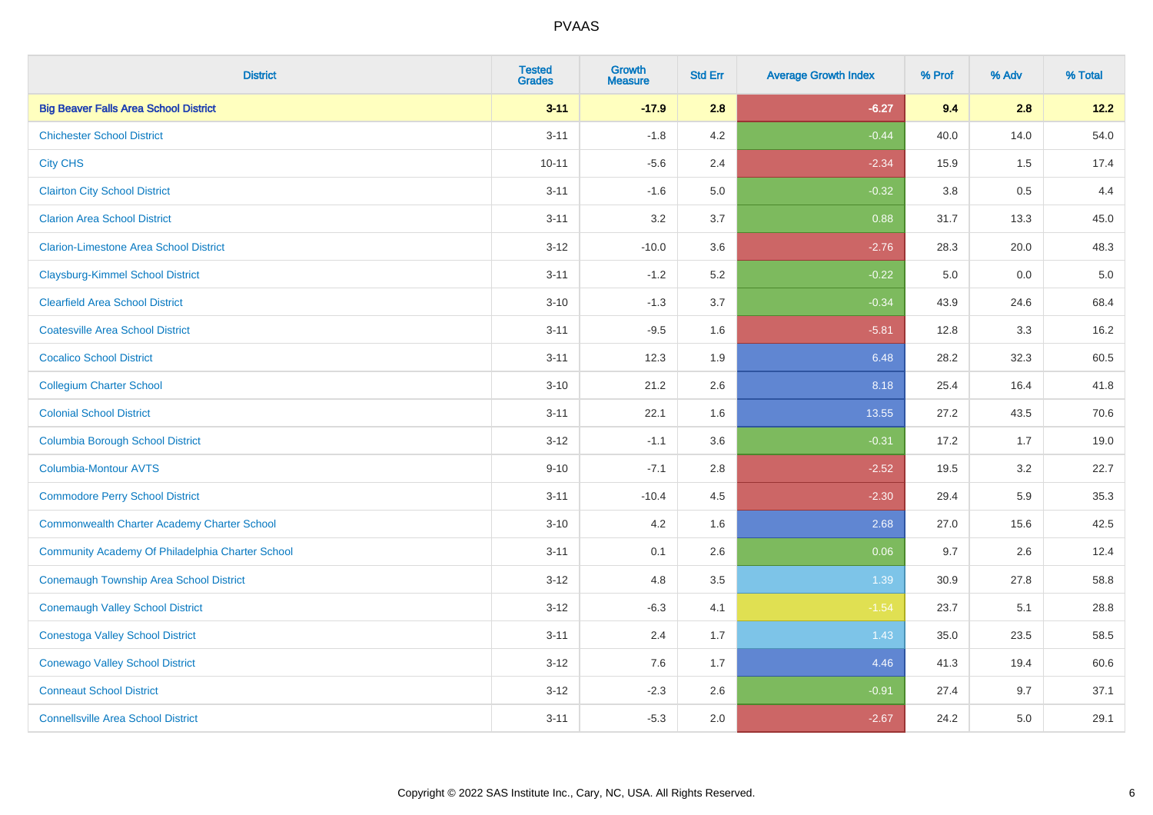| <b>District</b>                                    | <b>Tested</b><br><b>Grades</b> | <b>Growth</b><br><b>Measure</b> | <b>Std Err</b> | <b>Average Growth Index</b> | % Prof  | % Adv | % Total |
|----------------------------------------------------|--------------------------------|---------------------------------|----------------|-----------------------------|---------|-------|---------|
| <b>Big Beaver Falls Area School District</b>       | $3 - 11$                       | $-17.9$                         | 2.8            | $-6.27$                     | 9.4     | 2.8   | 12.2    |
| <b>Chichester School District</b>                  | $3 - 11$                       | $-1.8$                          | 4.2            | $-0.44$                     | 40.0    | 14.0  | 54.0    |
| <b>City CHS</b>                                    | $10 - 11$                      | $-5.6$                          | 2.4            | $-2.34$                     | 15.9    | 1.5   | 17.4    |
| <b>Clairton City School District</b>               | $3 - 11$                       | $-1.6$                          | 5.0            | $-0.32$                     | $3.8\,$ | 0.5   | 4.4     |
| <b>Clarion Area School District</b>                | $3 - 11$                       | 3.2                             | 3.7            | 0.88                        | 31.7    | 13.3  | 45.0    |
| <b>Clarion-Limestone Area School District</b>      | $3 - 12$                       | $-10.0$                         | 3.6            | $-2.76$                     | 28.3    | 20.0  | 48.3    |
| <b>Claysburg-Kimmel School District</b>            | $3 - 11$                       | $-1.2$                          | 5.2            | $-0.22$                     | 5.0     | 0.0   | $5.0$   |
| <b>Clearfield Area School District</b>             | $3 - 10$                       | $-1.3$                          | 3.7            | $-0.34$                     | 43.9    | 24.6  | 68.4    |
| <b>Coatesville Area School District</b>            | $3 - 11$                       | $-9.5$                          | 1.6            | $-5.81$                     | 12.8    | 3.3   | 16.2    |
| <b>Cocalico School District</b>                    | $3 - 11$                       | 12.3                            | 1.9            | 6.48                        | 28.2    | 32.3  | 60.5    |
| <b>Collegium Charter School</b>                    | $3 - 10$                       | 21.2                            | 2.6            | 8.18                        | 25.4    | 16.4  | 41.8    |
| <b>Colonial School District</b>                    | $3 - 11$                       | 22.1                            | 1.6            | 13.55                       | 27.2    | 43.5  | 70.6    |
| <b>Columbia Borough School District</b>            | $3 - 12$                       | $-1.1$                          | 3.6            | $-0.31$                     | 17.2    | 1.7   | 19.0    |
| Columbia-Montour AVTS                              | $9 - 10$                       | $-7.1$                          | 2.8            | $-2.52$                     | 19.5    | 3.2   | 22.7    |
| <b>Commodore Perry School District</b>             | $3 - 11$                       | $-10.4$                         | 4.5            | $-2.30$                     | 29.4    | 5.9   | 35.3    |
| <b>Commonwealth Charter Academy Charter School</b> | $3 - 10$                       | 4.2                             | 1.6            | 2.68                        | 27.0    | 15.6  | 42.5    |
| Community Academy Of Philadelphia Charter School   | $3 - 11$                       | 0.1                             | 2.6            | 0.06                        | 9.7     | 2.6   | 12.4    |
| Conemaugh Township Area School District            | $3 - 12$                       | 4.8                             | 3.5            | 1.39                        | 30.9    | 27.8  | 58.8    |
| <b>Conemaugh Valley School District</b>            | $3 - 12$                       | $-6.3$                          | 4.1            | $-1.54$                     | 23.7    | 5.1   | 28.8    |
| <b>Conestoga Valley School District</b>            | $3 - 11$                       | 2.4                             | 1.7            | 1.43                        | 35.0    | 23.5  | 58.5    |
| <b>Conewago Valley School District</b>             | $3 - 12$                       | 7.6                             | 1.7            | 4.46                        | 41.3    | 19.4  | 60.6    |
| <b>Conneaut School District</b>                    | $3 - 12$                       | $-2.3$                          | 2.6            | $-0.91$                     | 27.4    | 9.7   | 37.1    |
| <b>Connellsville Area School District</b>          | $3 - 11$                       | $-5.3$                          | 2.0            | $-2.67$                     | 24.2    | 5.0   | 29.1    |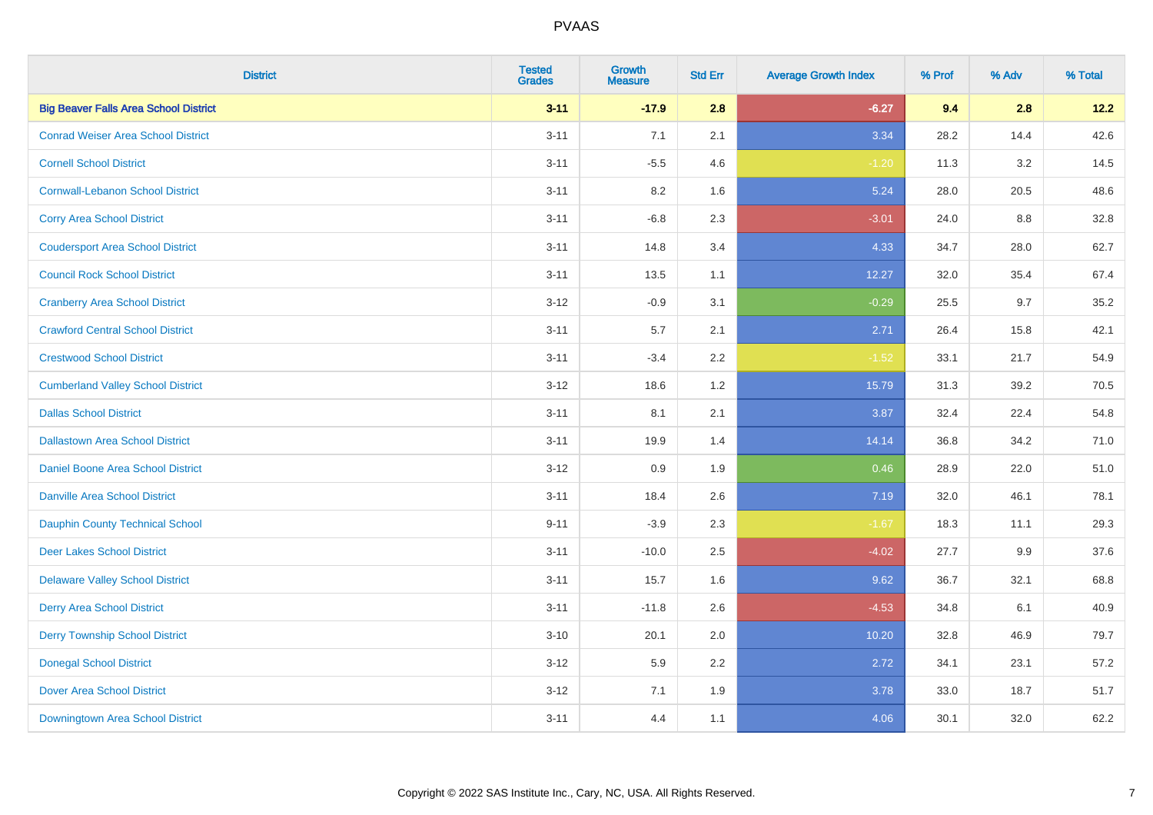| <b>District</b>                              | <b>Tested</b><br><b>Grades</b> | <b>Growth</b><br><b>Measure</b> | <b>Std Err</b> | <b>Average Growth Index</b> | % Prof | % Adv | % Total |
|----------------------------------------------|--------------------------------|---------------------------------|----------------|-----------------------------|--------|-------|---------|
| <b>Big Beaver Falls Area School District</b> | $3 - 11$                       | $-17.9$                         | 2.8            | $-6.27$                     | 9.4    | 2.8   | 12.2    |
| <b>Conrad Weiser Area School District</b>    | $3 - 11$                       | 7.1                             | 2.1            | 3.34                        | 28.2   | 14.4  | 42.6    |
| <b>Cornell School District</b>               | $3 - 11$                       | $-5.5$                          | 4.6            | $-1.20$                     | 11.3   | 3.2   | 14.5    |
| <b>Cornwall-Lebanon School District</b>      | $3 - 11$                       | 8.2                             | 1.6            | 5.24                        | 28.0   | 20.5  | 48.6    |
| <b>Corry Area School District</b>            | $3 - 11$                       | $-6.8$                          | 2.3            | $-3.01$                     | 24.0   | 8.8   | 32.8    |
| <b>Coudersport Area School District</b>      | $3 - 11$                       | 14.8                            | 3.4            | 4.33                        | 34.7   | 28.0  | 62.7    |
| <b>Council Rock School District</b>          | $3 - 11$                       | 13.5                            | 1.1            | 12.27                       | 32.0   | 35.4  | 67.4    |
| <b>Cranberry Area School District</b>        | $3 - 12$                       | $-0.9$                          | 3.1            | $-0.29$                     | 25.5   | 9.7   | 35.2    |
| <b>Crawford Central School District</b>      | $3 - 11$                       | 5.7                             | 2.1            | 2.71                        | 26.4   | 15.8  | 42.1    |
| <b>Crestwood School District</b>             | $3 - 11$                       | $-3.4$                          | 2.2            | $-1.52$                     | 33.1   | 21.7  | 54.9    |
| <b>Cumberland Valley School District</b>     | $3 - 12$                       | 18.6                            | 1.2            | 15.79                       | 31.3   | 39.2  | 70.5    |
| <b>Dallas School District</b>                | $3 - 11$                       | 8.1                             | 2.1            | 3.87                        | 32.4   | 22.4  | 54.8    |
| <b>Dallastown Area School District</b>       | $3 - 11$                       | 19.9                            | 1.4            | 14.14                       | 36.8   | 34.2  | 71.0    |
| <b>Daniel Boone Area School District</b>     | $3 - 12$                       | 0.9                             | 1.9            | 0.46                        | 28.9   | 22.0  | 51.0    |
| <b>Danville Area School District</b>         | $3 - 11$                       | 18.4                            | 2.6            | 7.19                        | 32.0   | 46.1  | 78.1    |
| <b>Dauphin County Technical School</b>       | $9 - 11$                       | $-3.9$                          | 2.3            | $-1.67$                     | 18.3   | 11.1  | 29.3    |
| <b>Deer Lakes School District</b>            | $3 - 11$                       | $-10.0$                         | 2.5            | $-4.02$                     | 27.7   | 9.9   | 37.6    |
| <b>Delaware Valley School District</b>       | $3 - 11$                       | 15.7                            | 1.6            | 9.62                        | 36.7   | 32.1  | 68.8    |
| <b>Derry Area School District</b>            | $3 - 11$                       | $-11.8$                         | 2.6            | $-4.53$                     | 34.8   | 6.1   | 40.9    |
| <b>Derry Township School District</b>        | $3 - 10$                       | 20.1                            | 2.0            | 10.20                       | 32.8   | 46.9  | 79.7    |
| <b>Donegal School District</b>               | $3 - 12$                       | 5.9                             | 2.2            | 2.72                        | 34.1   | 23.1  | 57.2    |
| <b>Dover Area School District</b>            | $3 - 12$                       | 7.1                             | 1.9            | 3.78                        | 33.0   | 18.7  | 51.7    |
| Downingtown Area School District             | $3 - 11$                       | 4.4                             | 1.1            | 4.06                        | 30.1   | 32.0  | 62.2    |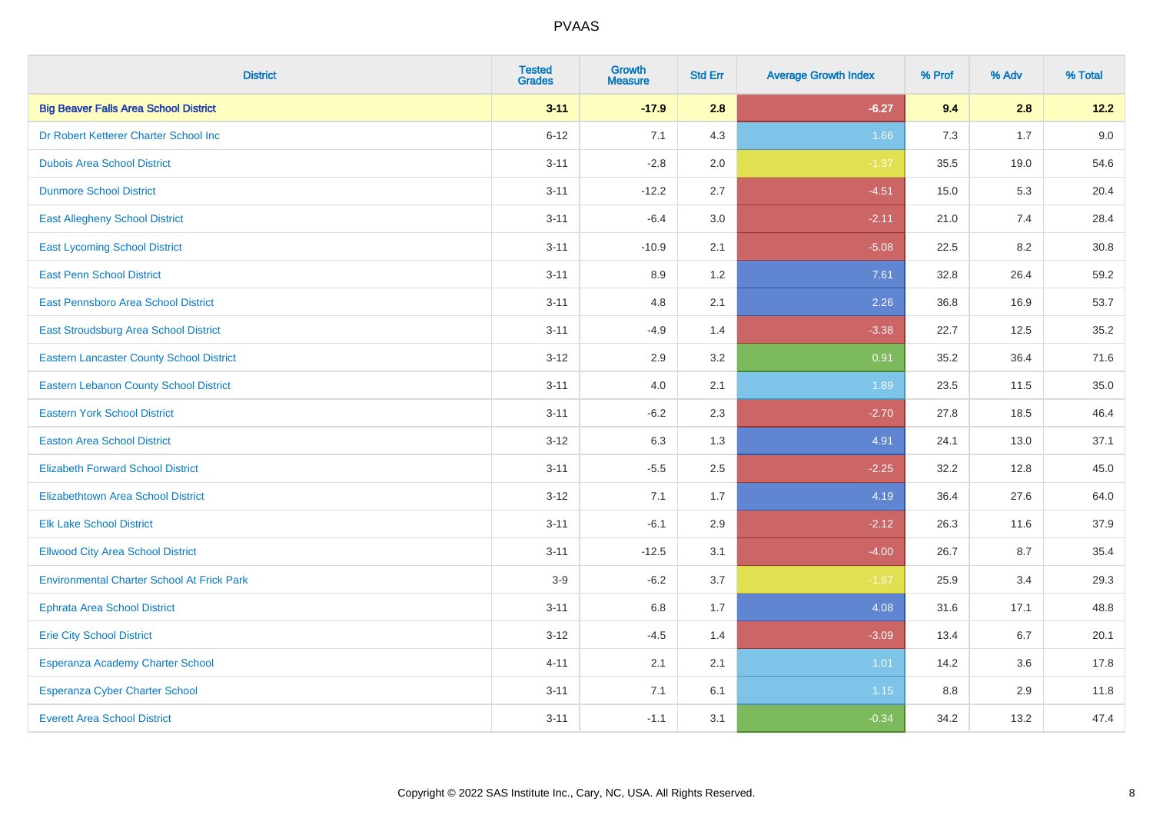| <b>District</b>                                   | <b>Tested</b><br><b>Grades</b> | <b>Growth</b><br><b>Measure</b> | <b>Std Err</b> | <b>Average Growth Index</b> | % Prof | % Adv | % Total |
|---------------------------------------------------|--------------------------------|---------------------------------|----------------|-----------------------------|--------|-------|---------|
| <b>Big Beaver Falls Area School District</b>      | $3 - 11$                       | $-17.9$                         | 2.8            | $-6.27$                     | 9.4    | 2.8   | 12.2    |
| Dr Robert Ketterer Charter School Inc             | $6 - 12$                       | 7.1                             | 4.3            | 1.66                        | 7.3    | 1.7   | 9.0     |
| <b>Dubois Area School District</b>                | $3 - 11$                       | $-2.8$                          | 2.0            | $-1.37$                     | 35.5   | 19.0  | 54.6    |
| <b>Dunmore School District</b>                    | $3 - 11$                       | $-12.2$                         | 2.7            | $-4.51$                     | 15.0   | 5.3   | 20.4    |
| <b>East Allegheny School District</b>             | $3 - 11$                       | $-6.4$                          | 3.0            | $-2.11$                     | 21.0   | 7.4   | 28.4    |
| <b>East Lycoming School District</b>              | $3 - 11$                       | $-10.9$                         | 2.1            | $-5.08$                     | 22.5   | 8.2   | 30.8    |
| <b>East Penn School District</b>                  | $3 - 11$                       | 8.9                             | 1.2            | 7.61                        | 32.8   | 26.4  | 59.2    |
| East Pennsboro Area School District               | $3 - 11$                       | 4.8                             | 2.1            | 2.26                        | 36.8   | 16.9  | 53.7    |
| East Stroudsburg Area School District             | $3 - 11$                       | $-4.9$                          | 1.4            | $-3.38$                     | 22.7   | 12.5  | 35.2    |
| <b>Eastern Lancaster County School District</b>   | $3 - 12$                       | 2.9                             | 3.2            | 0.91                        | 35.2   | 36.4  | 71.6    |
| <b>Eastern Lebanon County School District</b>     | $3 - 11$                       | 4.0                             | 2.1            | 1.89                        | 23.5   | 11.5  | 35.0    |
| <b>Eastern York School District</b>               | $3 - 11$                       | $-6.2$                          | 2.3            | $-2.70$                     | 27.8   | 18.5  | 46.4    |
| <b>Easton Area School District</b>                | $3 - 12$                       | 6.3                             | 1.3            | 4.91                        | 24.1   | 13.0  | 37.1    |
| <b>Elizabeth Forward School District</b>          | $3 - 11$                       | $-5.5$                          | 2.5            | $-2.25$                     | 32.2   | 12.8  | 45.0    |
| <b>Elizabethtown Area School District</b>         | $3 - 12$                       | 7.1                             | 1.7            | 4.19                        | 36.4   | 27.6  | 64.0    |
| <b>Elk Lake School District</b>                   | $3 - 11$                       | $-6.1$                          | 2.9            | $-2.12$                     | 26.3   | 11.6  | 37.9    |
| <b>Ellwood City Area School District</b>          | $3 - 11$                       | $-12.5$                         | 3.1            | $-4.00$                     | 26.7   | 8.7   | 35.4    |
| <b>Environmental Charter School At Frick Park</b> | $3-9$                          | $-6.2$                          | 3.7            | $-1.67$                     | 25.9   | 3.4   | 29.3    |
| <b>Ephrata Area School District</b>               | $3 - 11$                       | $6.8\,$                         | 1.7            | 4.08                        | 31.6   | 17.1  | 48.8    |
| <b>Erie City School District</b>                  | $3 - 12$                       | $-4.5$                          | 1.4            | $-3.09$                     | 13.4   | 6.7   | 20.1    |
| Esperanza Academy Charter School                  | $4 - 11$                       | 2.1                             | 2.1            | 1.01                        | 14.2   | 3.6   | 17.8    |
| Esperanza Cyber Charter School                    | $3 - 11$                       | 7.1                             | 6.1            | 1.15                        | 8.8    | 2.9   | 11.8    |
| <b>Everett Area School District</b>               | $3 - 11$                       | $-1.1$                          | 3.1            | $-0.34$                     | 34.2   | 13.2  | 47.4    |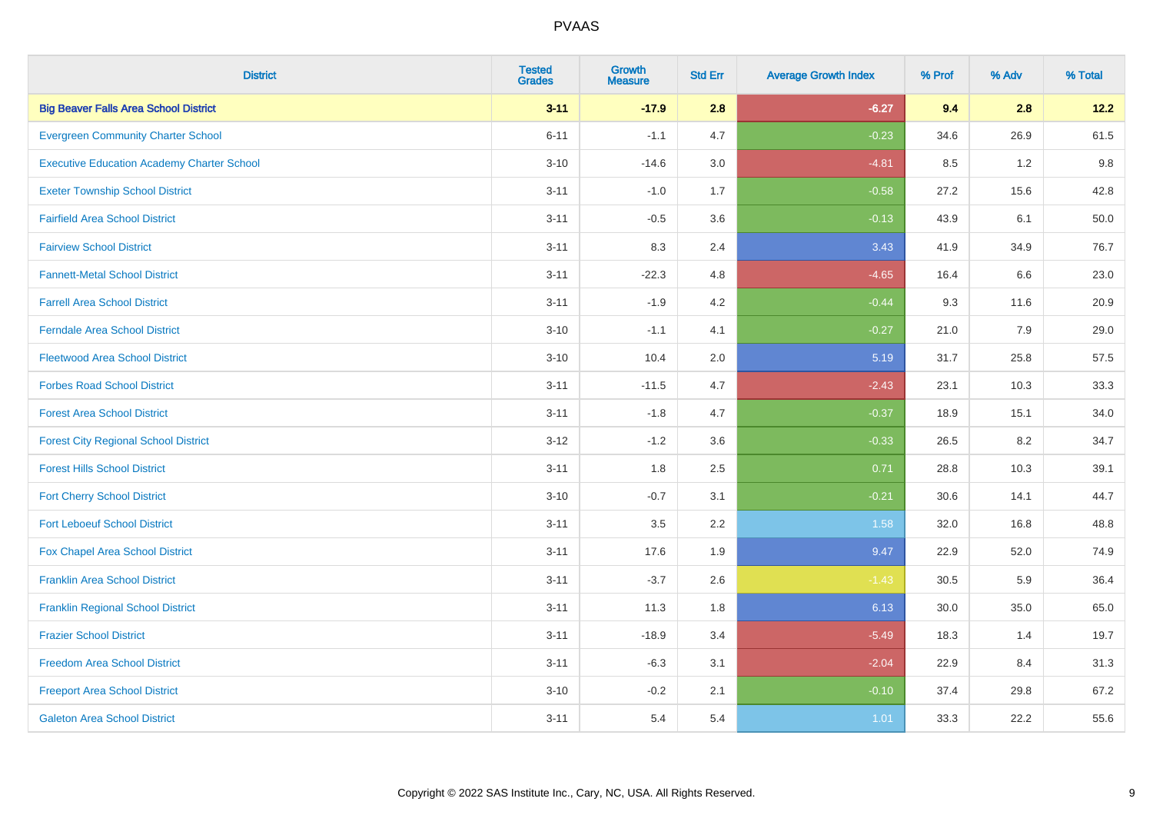| <b>District</b>                                   | <b>Tested</b><br><b>Grades</b> | <b>Growth</b><br><b>Measure</b> | <b>Std Err</b> | <b>Average Growth Index</b> | % Prof | % Adv | % Total |
|---------------------------------------------------|--------------------------------|---------------------------------|----------------|-----------------------------|--------|-------|---------|
| <b>Big Beaver Falls Area School District</b>      | $3 - 11$                       | $-17.9$                         | 2.8            | $-6.27$                     | 9.4    | 2.8   | 12.2    |
| <b>Evergreen Community Charter School</b>         | $6 - 11$                       | $-1.1$                          | 4.7            | $-0.23$                     | 34.6   | 26.9  | 61.5    |
| <b>Executive Education Academy Charter School</b> | $3 - 10$                       | $-14.6$                         | 3.0            | $-4.81$                     | 8.5    | 1.2   | 9.8     |
| <b>Exeter Township School District</b>            | $3 - 11$                       | $-1.0$                          | 1.7            | $-0.58$                     | 27.2   | 15.6  | 42.8    |
| <b>Fairfield Area School District</b>             | $3 - 11$                       | $-0.5$                          | 3.6            | $-0.13$                     | 43.9   | 6.1   | 50.0    |
| <b>Fairview School District</b>                   | $3 - 11$                       | 8.3                             | 2.4            | 3.43                        | 41.9   | 34.9  | 76.7    |
| <b>Fannett-Metal School District</b>              | $3 - 11$                       | $-22.3$                         | 4.8            | $-4.65$                     | 16.4   | 6.6   | 23.0    |
| <b>Farrell Area School District</b>               | $3 - 11$                       | $-1.9$                          | 4.2            | $-0.44$                     | 9.3    | 11.6  | 20.9    |
| <b>Ferndale Area School District</b>              | $3 - 10$                       | $-1.1$                          | 4.1            | $-0.27$                     | 21.0   | 7.9   | 29.0    |
| <b>Fleetwood Area School District</b>             | $3 - 10$                       | 10.4                            | 2.0            | 5.19                        | 31.7   | 25.8  | 57.5    |
| <b>Forbes Road School District</b>                | $3 - 11$                       | $-11.5$                         | 4.7            | $-2.43$                     | 23.1   | 10.3  | 33.3    |
| <b>Forest Area School District</b>                | $3 - 11$                       | $-1.8$                          | 4.7            | $-0.37$                     | 18.9   | 15.1  | 34.0    |
| <b>Forest City Regional School District</b>       | $3 - 12$                       | $-1.2$                          | 3.6            | $-0.33$                     | 26.5   | 8.2   | 34.7    |
| <b>Forest Hills School District</b>               | $3 - 11$                       | 1.8                             | 2.5            | 0.71                        | 28.8   | 10.3  | 39.1    |
| <b>Fort Cherry School District</b>                | $3 - 10$                       | $-0.7$                          | 3.1            | $-0.21$                     | 30.6   | 14.1  | 44.7    |
| <b>Fort Leboeuf School District</b>               | $3 - 11$                       | $3.5\,$                         | 2.2            | 1.58                        | 32.0   | 16.8  | 48.8    |
| Fox Chapel Area School District                   | $3 - 11$                       | 17.6                            | 1.9            | 9.47                        | 22.9   | 52.0  | 74.9    |
| <b>Franklin Area School District</b>              | $3 - 11$                       | $-3.7$                          | 2.6            | $-1.43$                     | 30.5   | 5.9   | 36.4    |
| <b>Franklin Regional School District</b>          | $3 - 11$                       | 11.3                            | 1.8            | 6.13                        | 30.0   | 35.0  | 65.0    |
| <b>Frazier School District</b>                    | $3 - 11$                       | $-18.9$                         | 3.4            | $-5.49$                     | 18.3   | 1.4   | 19.7    |
| <b>Freedom Area School District</b>               | $3 - 11$                       | $-6.3$                          | 3.1            | $-2.04$                     | 22.9   | 8.4   | 31.3    |
| <b>Freeport Area School District</b>              | $3 - 10$                       | $-0.2$                          | 2.1            | $-0.10$                     | 37.4   | 29.8  | 67.2    |
| <b>Galeton Area School District</b>               | $3 - 11$                       | 5.4                             | 5.4            | 1.01                        | 33.3   | 22.2  | 55.6    |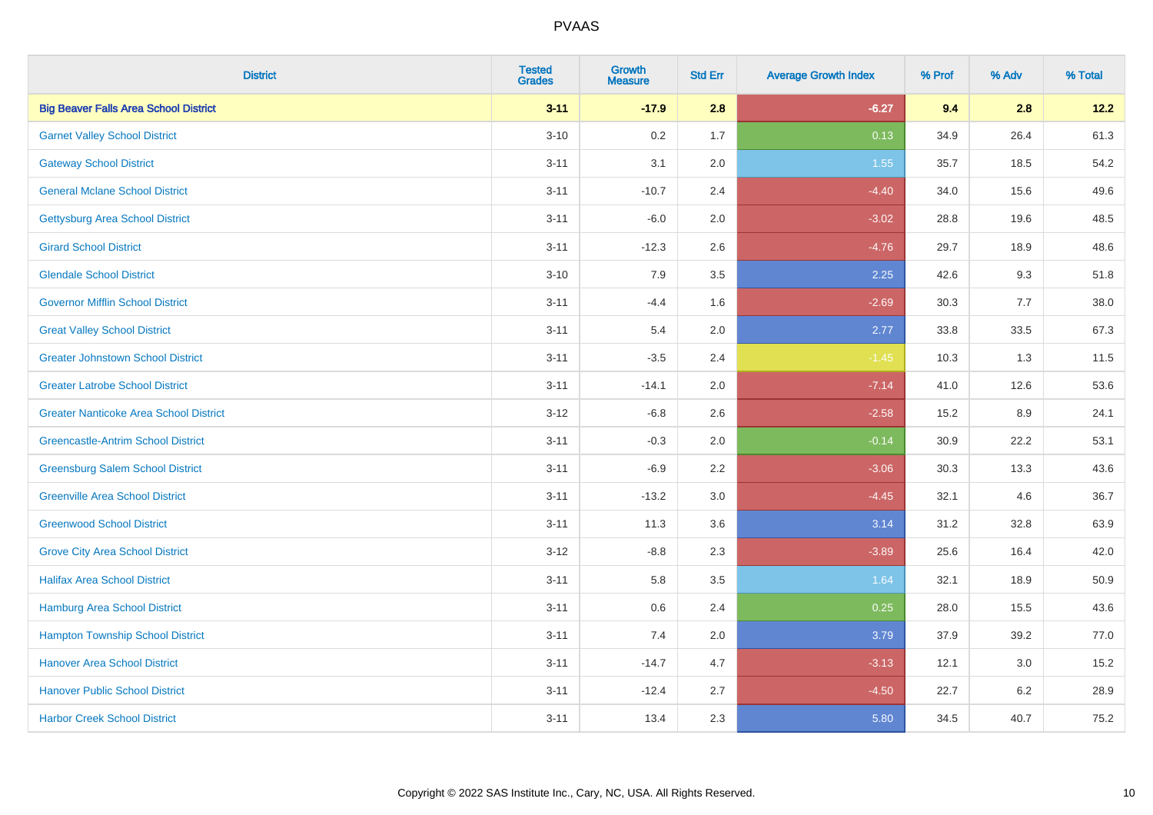| <b>District</b>                               | <b>Tested</b><br><b>Grades</b> | <b>Growth</b><br><b>Measure</b> | <b>Std Err</b> | <b>Average Growth Index</b> | % Prof | % Adv | % Total |
|-----------------------------------------------|--------------------------------|---------------------------------|----------------|-----------------------------|--------|-------|---------|
| <b>Big Beaver Falls Area School District</b>  | $3 - 11$                       | $-17.9$                         | 2.8            | $-6.27$                     | 9.4    | 2.8   | 12.2    |
| <b>Garnet Valley School District</b>          | $3 - 10$                       | 0.2                             | 1.7            | 0.13                        | 34.9   | 26.4  | 61.3    |
| <b>Gateway School District</b>                | $3 - 11$                       | 3.1                             | 2.0            | 1.55                        | 35.7   | 18.5  | 54.2    |
| <b>General Mclane School District</b>         | $3 - 11$                       | $-10.7$                         | 2.4            | $-4.40$                     | 34.0   | 15.6  | 49.6    |
| <b>Gettysburg Area School District</b>        | $3 - 11$                       | $-6.0$                          | 2.0            | $-3.02$                     | 28.8   | 19.6  | 48.5    |
| <b>Girard School District</b>                 | $3 - 11$                       | $-12.3$                         | 2.6            | $-4.76$                     | 29.7   | 18.9  | 48.6    |
| <b>Glendale School District</b>               | $3 - 10$                       | 7.9                             | 3.5            | 2.25                        | 42.6   | 9.3   | 51.8    |
| <b>Governor Mifflin School District</b>       | $3 - 11$                       | $-4.4$                          | 1.6            | $-2.69$                     | 30.3   | 7.7   | 38.0    |
| <b>Great Valley School District</b>           | $3 - 11$                       | 5.4                             | 2.0            | 2.77                        | 33.8   | 33.5  | 67.3    |
| <b>Greater Johnstown School District</b>      | $3 - 11$                       | $-3.5$                          | 2.4            | $-1.45$                     | 10.3   | 1.3   | 11.5    |
| <b>Greater Latrobe School District</b>        | $3 - 11$                       | $-14.1$                         | 2.0            | $-7.14$                     | 41.0   | 12.6  | 53.6    |
| <b>Greater Nanticoke Area School District</b> | $3-12$                         | $-6.8$                          | 2.6            | $-2.58$                     | 15.2   | 8.9   | 24.1    |
| <b>Greencastle-Antrim School District</b>     | $3 - 11$                       | $-0.3$                          | 2.0            | $-0.14$                     | 30.9   | 22.2  | 53.1    |
| <b>Greensburg Salem School District</b>       | $3 - 11$                       | $-6.9$                          | 2.2            | $-3.06$                     | 30.3   | 13.3  | 43.6    |
| <b>Greenville Area School District</b>        | $3 - 11$                       | $-13.2$                         | 3.0            | $-4.45$                     | 32.1   | 4.6   | 36.7    |
| <b>Greenwood School District</b>              | $3 - 11$                       | 11.3                            | 3.6            | 3.14                        | 31.2   | 32.8  | 63.9    |
| <b>Grove City Area School District</b>        | $3 - 12$                       | $-8.8$                          | 2.3            | $-3.89$                     | 25.6   | 16.4  | 42.0    |
| <b>Halifax Area School District</b>           | $3 - 11$                       | 5.8                             | 3.5            | 1.64                        | 32.1   | 18.9  | 50.9    |
| Hamburg Area School District                  | $3 - 11$                       | 0.6                             | 2.4            | 0.25                        | 28.0   | 15.5  | 43.6    |
| <b>Hampton Township School District</b>       | $3 - 11$                       | 7.4                             | 2.0            | 3.79                        | 37.9   | 39.2  | 77.0    |
| <b>Hanover Area School District</b>           | $3 - 11$                       | $-14.7$                         | 4.7            | $-3.13$                     | 12.1   | 3.0   | 15.2    |
| <b>Hanover Public School District</b>         | $3 - 11$                       | $-12.4$                         | 2.7            | $-4.50$                     | 22.7   | 6.2   | 28.9    |
| <b>Harbor Creek School District</b>           | $3 - 11$                       | 13.4                            | 2.3            | 5.80                        | 34.5   | 40.7  | 75.2    |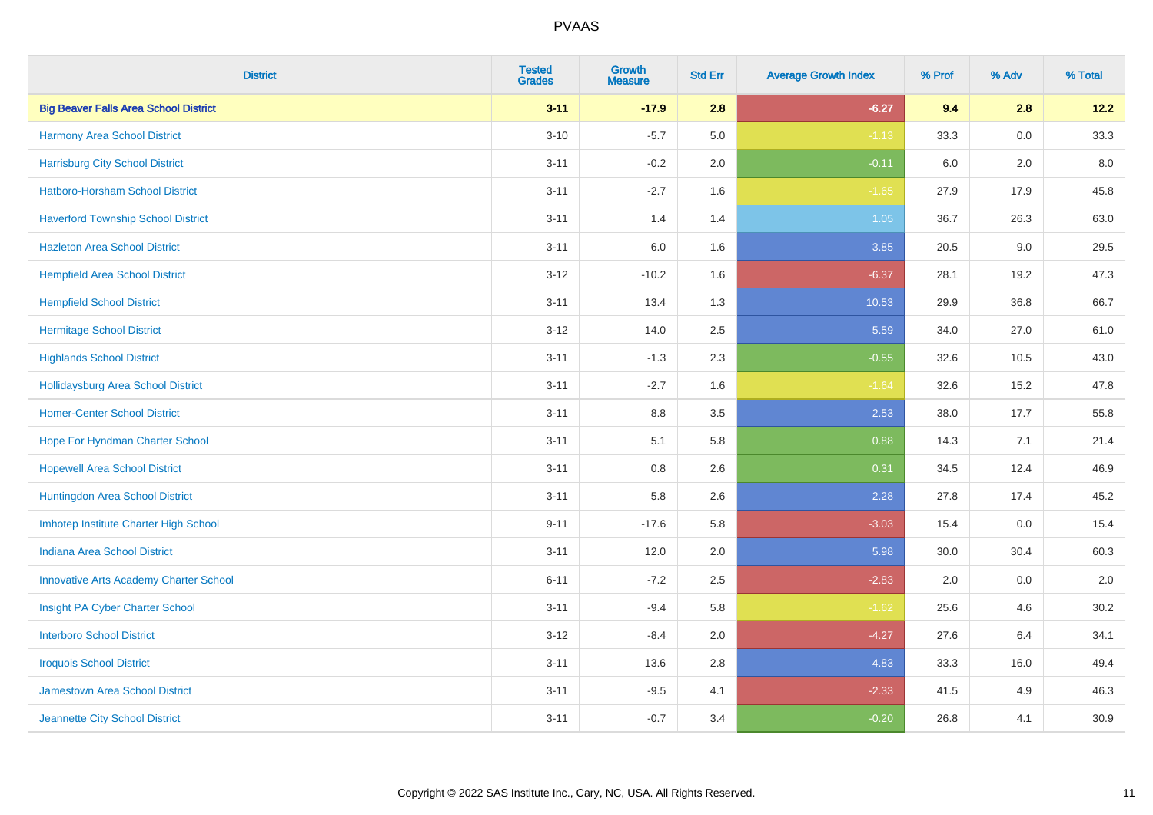| <b>District</b>                               | <b>Tested</b><br><b>Grades</b> | <b>Growth</b><br><b>Measure</b> | <b>Std Err</b> | <b>Average Growth Index</b> | % Prof | % Adv   | % Total |
|-----------------------------------------------|--------------------------------|---------------------------------|----------------|-----------------------------|--------|---------|---------|
| <b>Big Beaver Falls Area School District</b>  | $3 - 11$                       | $-17.9$                         | 2.8            | $-6.27$                     | 9.4    | 2.8     | 12.2    |
| Harmony Area School District                  | $3 - 10$                       | $-5.7$                          | 5.0            | $-1.13$                     | 33.3   | 0.0     | 33.3    |
| <b>Harrisburg City School District</b>        | $3 - 11$                       | $-0.2$                          | 2.0            | $-0.11$                     | 6.0    | 2.0     | 8.0     |
| Hatboro-Horsham School District               | $3 - 11$                       | $-2.7$                          | 1.6            | $-1.65$                     | 27.9   | 17.9    | 45.8    |
| <b>Haverford Township School District</b>     | $3 - 11$                       | 1.4                             | 1.4            | 1.05                        | 36.7   | 26.3    | 63.0    |
| <b>Hazleton Area School District</b>          | $3 - 11$                       | 6.0                             | 1.6            | 3.85                        | 20.5   | 9.0     | 29.5    |
| <b>Hempfield Area School District</b>         | $3 - 12$                       | $-10.2$                         | 1.6            | $-6.37$                     | 28.1   | 19.2    | 47.3    |
| <b>Hempfield School District</b>              | $3 - 11$                       | 13.4                            | 1.3            | 10.53                       | 29.9   | 36.8    | 66.7    |
| <b>Hermitage School District</b>              | $3-12$                         | 14.0                            | 2.5            | 5.59                        | 34.0   | 27.0    | 61.0    |
| <b>Highlands School District</b>              | $3 - 11$                       | $-1.3$                          | 2.3            | $-0.55$                     | 32.6   | 10.5    | 43.0    |
| <b>Hollidaysburg Area School District</b>     | $3 - 11$                       | $-2.7$                          | 1.6            | $-1.64$                     | 32.6   | 15.2    | 47.8    |
| <b>Homer-Center School District</b>           | $3 - 11$                       | 8.8                             | 3.5            | 2.53                        | 38.0   | 17.7    | 55.8    |
| Hope For Hyndman Charter School               | $3 - 11$                       | 5.1                             | 5.8            | 0.88                        | 14.3   | 7.1     | 21.4    |
| <b>Hopewell Area School District</b>          | $3 - 11$                       | 0.8                             | 2.6            | 0.31                        | 34.5   | 12.4    | 46.9    |
| Huntingdon Area School District               | $3 - 11$                       | 5.8                             | 2.6            | 2.28                        | 27.8   | 17.4    | 45.2    |
| Imhotep Institute Charter High School         | $9 - 11$                       | $-17.6$                         | 5.8            | $-3.03$                     | 15.4   | $0.0\,$ | 15.4    |
| <b>Indiana Area School District</b>           | $3 - 11$                       | 12.0                            | 2.0            | 5.98                        | 30.0   | 30.4    | 60.3    |
| <b>Innovative Arts Academy Charter School</b> | $6 - 11$                       | $-7.2$                          | 2.5            | $-2.83$                     | 2.0    | 0.0     | 2.0     |
| Insight PA Cyber Charter School               | $3 - 11$                       | $-9.4$                          | 5.8            | $-1.62$                     | 25.6   | 4.6     | 30.2    |
| <b>Interboro School District</b>              | $3 - 12$                       | $-8.4$                          | 2.0            | $-4.27$                     | 27.6   | 6.4     | 34.1    |
| <b>Iroquois School District</b>               | $3 - 11$                       | 13.6                            | 2.8            | 4.83                        | 33.3   | 16.0    | 49.4    |
| Jamestown Area School District                | $3 - 11$                       | $-9.5$                          | 4.1            | $-2.33$                     | 41.5   | 4.9     | 46.3    |
| Jeannette City School District                | $3 - 11$                       | $-0.7$                          | 3.4            | $-0.20$                     | 26.8   | 4.1     | 30.9    |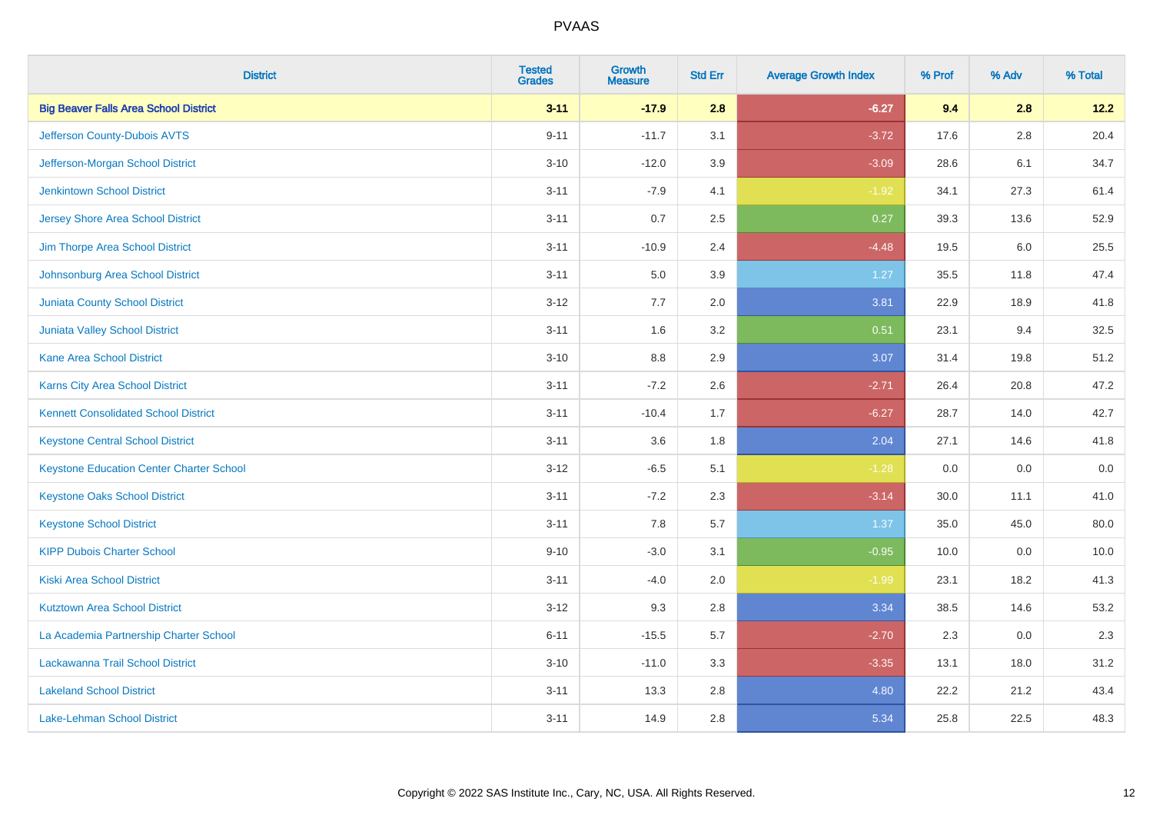| <b>District</b>                                 | <b>Tested</b><br><b>Grades</b> | <b>Growth</b><br><b>Measure</b> | <b>Std Err</b> | <b>Average Growth Index</b> | % Prof | % Adv | % Total |
|-------------------------------------------------|--------------------------------|---------------------------------|----------------|-----------------------------|--------|-------|---------|
| <b>Big Beaver Falls Area School District</b>    | $3 - 11$                       | $-17.9$                         | 2.8            | $-6.27$                     | 9.4    | 2.8   | 12.2    |
| Jefferson County-Dubois AVTS                    | $9 - 11$                       | $-11.7$                         | 3.1            | $-3.72$                     | 17.6   | 2.8   | 20.4    |
| Jefferson-Morgan School District                | $3 - 10$                       | $-12.0$                         | 3.9            | $-3.09$                     | 28.6   | 6.1   | 34.7    |
| <b>Jenkintown School District</b>               | $3 - 11$                       | $-7.9$                          | 4.1            | $-1.92$                     | 34.1   | 27.3  | 61.4    |
| <b>Jersey Shore Area School District</b>        | $3 - 11$                       | 0.7                             | 2.5            | 0.27                        | 39.3   | 13.6  | 52.9    |
| Jim Thorpe Area School District                 | $3 - 11$                       | $-10.9$                         | 2.4            | $-4.48$                     | 19.5   | 6.0   | 25.5    |
| Johnsonburg Area School District                | $3 - 11$                       | 5.0                             | 3.9            | 1.27                        | 35.5   | 11.8  | 47.4    |
| <b>Juniata County School District</b>           | $3 - 12$                       | 7.7                             | 2.0            | 3.81                        | 22.9   | 18.9  | 41.8    |
| Juniata Valley School District                  | $3 - 11$                       | 1.6                             | 3.2            | 0.51                        | 23.1   | 9.4   | 32.5    |
| <b>Kane Area School District</b>                | $3 - 10$                       | 8.8                             | 2.9            | 3.07                        | 31.4   | 19.8  | 51.2    |
| Karns City Area School District                 | $3 - 11$                       | $-7.2$                          | 2.6            | $-2.71$                     | 26.4   | 20.8  | 47.2    |
| <b>Kennett Consolidated School District</b>     | $3 - 11$                       | $-10.4$                         | 1.7            | $-6.27$                     | 28.7   | 14.0  | 42.7    |
| <b>Keystone Central School District</b>         | $3 - 11$                       | 3.6                             | 1.8            | 2.04                        | 27.1   | 14.6  | 41.8    |
| <b>Keystone Education Center Charter School</b> | $3 - 12$                       | $-6.5$                          | 5.1            | $-1.28$                     | 0.0    | 0.0   | 0.0     |
| <b>Keystone Oaks School District</b>            | $3 - 11$                       | $-7.2$                          | 2.3            | $-3.14$                     | 30.0   | 11.1  | 41.0    |
| <b>Keystone School District</b>                 | $3 - 11$                       | 7.8                             | 5.7            | 1.37                        | 35.0   | 45.0  | 80.0    |
| <b>KIPP Dubois Charter School</b>               | $9 - 10$                       | $-3.0$                          | 3.1            | $-0.95$                     | 10.0   | 0.0   | 10.0    |
| <b>Kiski Area School District</b>               | $3 - 11$                       | $-4.0$                          | 2.0            | $-1.99$                     | 23.1   | 18.2  | 41.3    |
| <b>Kutztown Area School District</b>            | $3 - 12$                       | 9.3                             | 2.8            | 3.34                        | 38.5   | 14.6  | 53.2    |
| La Academia Partnership Charter School          | $6 - 11$                       | $-15.5$                         | 5.7            | $-2.70$                     | 2.3    | 0.0   | 2.3     |
| Lackawanna Trail School District                | $3 - 10$                       | $-11.0$                         | 3.3            | $-3.35$                     | 13.1   | 18.0  | 31.2    |
| <b>Lakeland School District</b>                 | $3 - 11$                       | 13.3                            | 2.8            | 4.80                        | 22.2   | 21.2  | 43.4    |
| Lake-Lehman School District                     | $3 - 11$                       | 14.9                            | 2.8            | 5.34                        | 25.8   | 22.5  | 48.3    |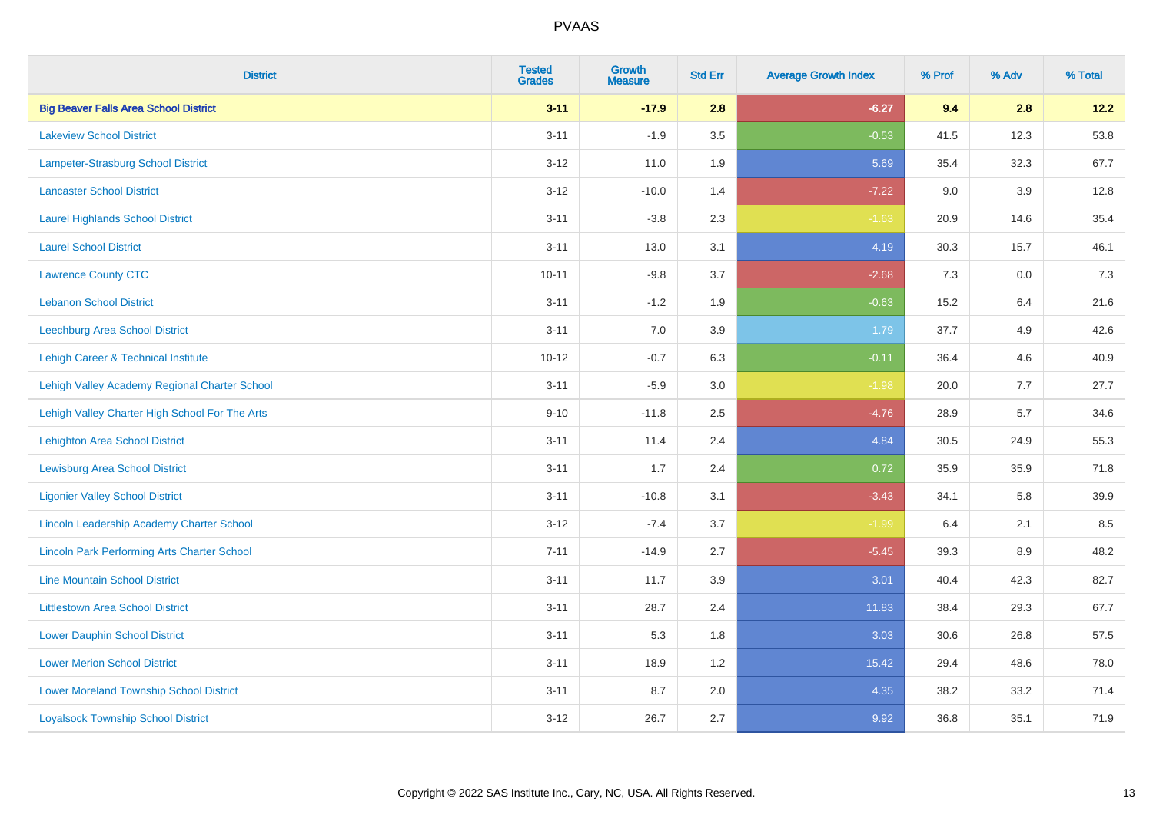| <b>District</b>                                    | <b>Tested</b><br><b>Grades</b> | Growth<br><b>Measure</b> | <b>Std Err</b> | <b>Average Growth Index</b> | % Prof | % Adv   | % Total |
|----------------------------------------------------|--------------------------------|--------------------------|----------------|-----------------------------|--------|---------|---------|
| <b>Big Beaver Falls Area School District</b>       | $3 - 11$                       | $-17.9$                  | 2.8            | $-6.27$                     | 9.4    | 2.8     | 12.2    |
| <b>Lakeview School District</b>                    | $3 - 11$                       | $-1.9$                   | 3.5            | $-0.53$                     | 41.5   | 12.3    | 53.8    |
| Lampeter-Strasburg School District                 | $3-12$                         | 11.0                     | 1.9            | 5.69                        | 35.4   | 32.3    | 67.7    |
| <b>Lancaster School District</b>                   | $3 - 12$                       | $-10.0$                  | 1.4            | $-7.22$                     | 9.0    | 3.9     | 12.8    |
| <b>Laurel Highlands School District</b>            | $3 - 11$                       | $-3.8$                   | 2.3            | $-1.63$                     | 20.9   | 14.6    | 35.4    |
| <b>Laurel School District</b>                      | $3 - 11$                       | 13.0                     | 3.1            | 4.19                        | 30.3   | 15.7    | 46.1    |
| <b>Lawrence County CTC</b>                         | $10 - 11$                      | $-9.8$                   | 3.7            | $-2.68$                     | 7.3    | $0.0\,$ | $7.3$   |
| <b>Lebanon School District</b>                     | $3 - 11$                       | $-1.2$                   | 1.9            | $-0.63$                     | 15.2   | 6.4     | 21.6    |
| Leechburg Area School District                     | $3 - 11$                       | 7.0                      | 3.9            | 1.79                        | 37.7   | 4.9     | 42.6    |
| Lehigh Career & Technical Institute                | $10 - 12$                      | $-0.7$                   | 6.3            | $-0.11$                     | 36.4   | 4.6     | 40.9    |
| Lehigh Valley Academy Regional Charter School      | $3 - 11$                       | $-5.9$                   | 3.0            | $-1.98$                     | 20.0   | 7.7     | 27.7    |
| Lehigh Valley Charter High School For The Arts     | $9 - 10$                       | $-11.8$                  | 2.5            | $-4.76$                     | 28.9   | 5.7     | 34.6    |
| <b>Lehighton Area School District</b>              | $3 - 11$                       | 11.4                     | 2.4            | 4.84                        | 30.5   | 24.9    | 55.3    |
| <b>Lewisburg Area School District</b>              | $3 - 11$                       | 1.7                      | 2.4            | 0.72                        | 35.9   | 35.9    | 71.8    |
| <b>Ligonier Valley School District</b>             | $3 - 11$                       | $-10.8$                  | 3.1            | $-3.43$                     | 34.1   | 5.8     | 39.9    |
| Lincoln Leadership Academy Charter School          | $3-12$                         | $-7.4$                   | 3.7            | $-1.99$                     | 6.4    | 2.1     | 8.5     |
| <b>Lincoln Park Performing Arts Charter School</b> | $7 - 11$                       | $-14.9$                  | 2.7            | $-5.45$                     | 39.3   | 8.9     | 48.2    |
| <b>Line Mountain School District</b>               | $3 - 11$                       | 11.7                     | 3.9            | 3.01                        | 40.4   | 42.3    | 82.7    |
| <b>Littlestown Area School District</b>            | $3 - 11$                       | 28.7                     | 2.4            | 11.83                       | 38.4   | 29.3    | 67.7    |
| <b>Lower Dauphin School District</b>               | $3 - 11$                       | 5.3                      | 1.8            | 3.03                        | 30.6   | 26.8    | 57.5    |
| <b>Lower Merion School District</b>                | $3 - 11$                       | 18.9                     | 1.2            | 15.42                       | 29.4   | 48.6    | 78.0    |
| <b>Lower Moreland Township School District</b>     | $3 - 11$                       | 8.7                      | 2.0            | 4.35                        | 38.2   | 33.2    | 71.4    |
| <b>Loyalsock Township School District</b>          | $3 - 12$                       | 26.7                     | 2.7            | 9.92                        | 36.8   | 35.1    | 71.9    |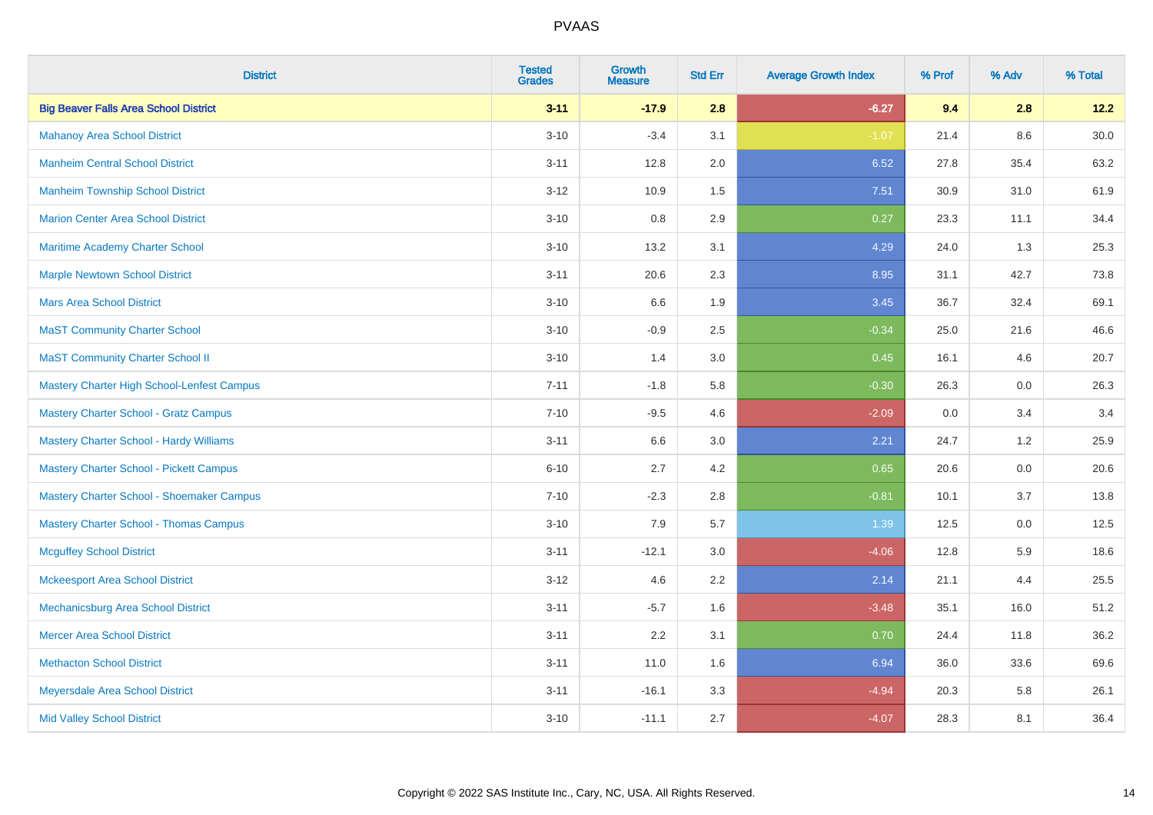| <b>District</b>                                | <b>Tested</b><br><b>Grades</b> | <b>Growth</b><br><b>Measure</b> | <b>Std Err</b> | <b>Average Growth Index</b> | % Prof | % Adv   | % Total  |
|------------------------------------------------|--------------------------------|---------------------------------|----------------|-----------------------------|--------|---------|----------|
| <b>Big Beaver Falls Area School District</b>   | $3 - 11$                       | $-17.9$                         | 2.8            | $-6.27$                     | 9.4    | 2.8     | 12.2     |
| <b>Mahanoy Area School District</b>            | $3 - 10$                       | $-3.4$                          | 3.1            | $-1.07$                     | 21.4   | $8.6\,$ | $30.0\,$ |
| <b>Manheim Central School District</b>         | $3 - 11$                       | 12.8                            | 2.0            | 6.52                        | 27.8   | 35.4    | 63.2     |
| <b>Manheim Township School District</b>        | $3-12$                         | 10.9                            | 1.5            | 7.51                        | 30.9   | 31.0    | 61.9     |
| <b>Marion Center Area School District</b>      | $3 - 10$                       | 0.8                             | 2.9            | 0.27                        | 23.3   | 11.1    | 34.4     |
| Maritime Academy Charter School                | $3 - 10$                       | 13.2                            | 3.1            | 4.29                        | 24.0   | 1.3     | 25.3     |
| <b>Marple Newtown School District</b>          | $3 - 11$                       | 20.6                            | 2.3            | 8.95                        | 31.1   | 42.7    | 73.8     |
| <b>Mars Area School District</b>               | $3 - 10$                       | 6.6                             | 1.9            | 3.45                        | 36.7   | 32.4    | 69.1     |
| <b>MaST Community Charter School</b>           | $3 - 10$                       | $-0.9$                          | 2.5            | $-0.34$                     | 25.0   | 21.6    | 46.6     |
| <b>MaST Community Charter School II</b>        | $3 - 10$                       | 1.4                             | 3.0            | 0.45                        | 16.1   | 4.6     | 20.7     |
| Mastery Charter High School-Lenfest Campus     | $7 - 11$                       | $-1.8$                          | 5.8            | $-0.30$                     | 26.3   | 0.0     | 26.3     |
| <b>Mastery Charter School - Gratz Campus</b>   | $7 - 10$                       | $-9.5$                          | 4.6            | $-2.09$                     | 0.0    | 3.4     | 3.4      |
| Mastery Charter School - Hardy Williams        | $3 - 11$                       | 6.6                             | 3.0            | 2.21                        | 24.7   | 1.2     | 25.9     |
| <b>Mastery Charter School - Pickett Campus</b> | $6 - 10$                       | 2.7                             | 4.2            | 0.65                        | 20.6   | 0.0     | 20.6     |
| Mastery Charter School - Shoemaker Campus      | $7 - 10$                       | $-2.3$                          | 2.8            | $-0.81$                     | 10.1   | 3.7     | 13.8     |
| <b>Mastery Charter School - Thomas Campus</b>  | $3 - 10$                       | 7.9                             | 5.7            | 1.39                        | 12.5   | $0.0\,$ | 12.5     |
| <b>Mcguffey School District</b>                | $3 - 11$                       | $-12.1$                         | 3.0            | $-4.06$                     | 12.8   | 5.9     | 18.6     |
| <b>Mckeesport Area School District</b>         | $3 - 12$                       | 4.6                             | 2.2            | 2.14                        | 21.1   | 4.4     | 25.5     |
| Mechanicsburg Area School District             | $3 - 11$                       | $-5.7$                          | 1.6            | $-3.48$                     | 35.1   | 16.0    | 51.2     |
| <b>Mercer Area School District</b>             | $3 - 11$                       | 2.2                             | 3.1            | 0.70                        | 24.4   | 11.8    | 36.2     |
| <b>Methacton School District</b>               | $3 - 11$                       | 11.0                            | 1.6            | 6.94                        | 36.0   | 33.6    | 69.6     |
| Meyersdale Area School District                | $3 - 11$                       | $-16.1$                         | 3.3            | $-4.94$                     | 20.3   | 5.8     | 26.1     |
| <b>Mid Valley School District</b>              | $3 - 10$                       | $-11.1$                         | 2.7            | $-4.07$                     | 28.3   | 8.1     | 36.4     |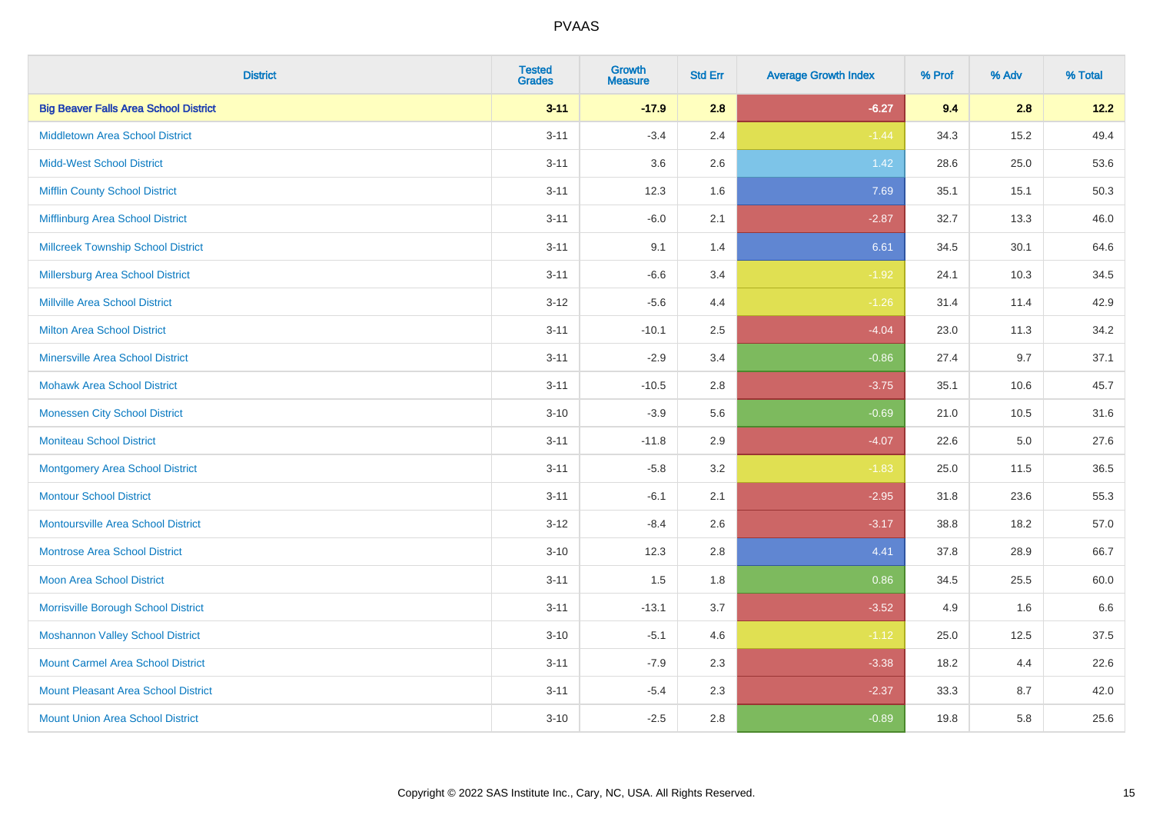| <b>District</b>                              | <b>Tested</b><br><b>Grades</b> | <b>Growth</b><br><b>Measure</b> | <b>Std Err</b> | <b>Average Growth Index</b> | % Prof | % Adv   | % Total |
|----------------------------------------------|--------------------------------|---------------------------------|----------------|-----------------------------|--------|---------|---------|
| <b>Big Beaver Falls Area School District</b> | $3 - 11$                       | $-17.9$                         | 2.8            | $-6.27$                     | 9.4    | 2.8     | 12.2    |
| <b>Middletown Area School District</b>       | $3 - 11$                       | $-3.4$                          | 2.4            | $-1.44$                     | 34.3   | 15.2    | 49.4    |
| <b>Midd-West School District</b>             | $3 - 11$                       | 3.6                             | 2.6            | 1.42                        | 28.6   | 25.0    | 53.6    |
| <b>Mifflin County School District</b>        | $3 - 11$                       | 12.3                            | 1.6            | 7.69                        | 35.1   | 15.1    | 50.3    |
| Mifflinburg Area School District             | $3 - 11$                       | $-6.0$                          | 2.1            | $-2.87$                     | 32.7   | 13.3    | 46.0    |
| <b>Millcreek Township School District</b>    | $3 - 11$                       | 9.1                             | 1.4            | 6.61                        | 34.5   | 30.1    | 64.6    |
| Millersburg Area School District             | $3 - 11$                       | $-6.6$                          | 3.4            | $-1.92$                     | 24.1   | 10.3    | 34.5    |
| <b>Millville Area School District</b>        | $3 - 12$                       | $-5.6$                          | 4.4            | $-1.26$                     | 31.4   | 11.4    | 42.9    |
| <b>Milton Area School District</b>           | $3 - 11$                       | $-10.1$                         | 2.5            | $-4.04$                     | 23.0   | 11.3    | 34.2    |
| <b>Minersville Area School District</b>      | $3 - 11$                       | $-2.9$                          | 3.4            | $-0.86$                     | 27.4   | 9.7     | 37.1    |
| <b>Mohawk Area School District</b>           | $3 - 11$                       | $-10.5$                         | 2.8            | $-3.75$                     | 35.1   | 10.6    | 45.7    |
| <b>Monessen City School District</b>         | $3 - 10$                       | $-3.9$                          | 5.6            | $-0.69$                     | 21.0   | 10.5    | 31.6    |
| <b>Moniteau School District</b>              | $3 - 11$                       | $-11.8$                         | 2.9            | $-4.07$                     | 22.6   | $5.0\,$ | 27.6    |
| <b>Montgomery Area School District</b>       | $3 - 11$                       | $-5.8$                          | 3.2            | $-1.83$                     | 25.0   | 11.5    | 36.5    |
| <b>Montour School District</b>               | $3 - 11$                       | $-6.1$                          | 2.1            | $-2.95$                     | 31.8   | 23.6    | 55.3    |
| <b>Montoursville Area School District</b>    | $3 - 12$                       | $-8.4$                          | 2.6            | $-3.17$                     | 38.8   | 18.2    | 57.0    |
| <b>Montrose Area School District</b>         | $3 - 10$                       | 12.3                            | 2.8            | 4.41                        | 37.8   | 28.9    | 66.7    |
| <b>Moon Area School District</b>             | $3 - 11$                       | 1.5                             | 1.8            | 0.86                        | 34.5   | 25.5    | 60.0    |
| Morrisville Borough School District          | $3 - 11$                       | $-13.1$                         | 3.7            | $-3.52$                     | 4.9    | 1.6     | 6.6     |
| <b>Moshannon Valley School District</b>      | $3 - 10$                       | $-5.1$                          | 4.6            | $-1.12$                     | 25.0   | 12.5    | 37.5    |
| <b>Mount Carmel Area School District</b>     | $3 - 11$                       | $-7.9$                          | 2.3            | $-3.38$                     | 18.2   | 4.4     | 22.6    |
| <b>Mount Pleasant Area School District</b>   | $3 - 11$                       | $-5.4$                          | 2.3            | $-2.37$                     | 33.3   | 8.7     | 42.0    |
| <b>Mount Union Area School District</b>      | $3 - 10$                       | $-2.5$                          | 2.8            | $-0.89$                     | 19.8   | 5.8     | 25.6    |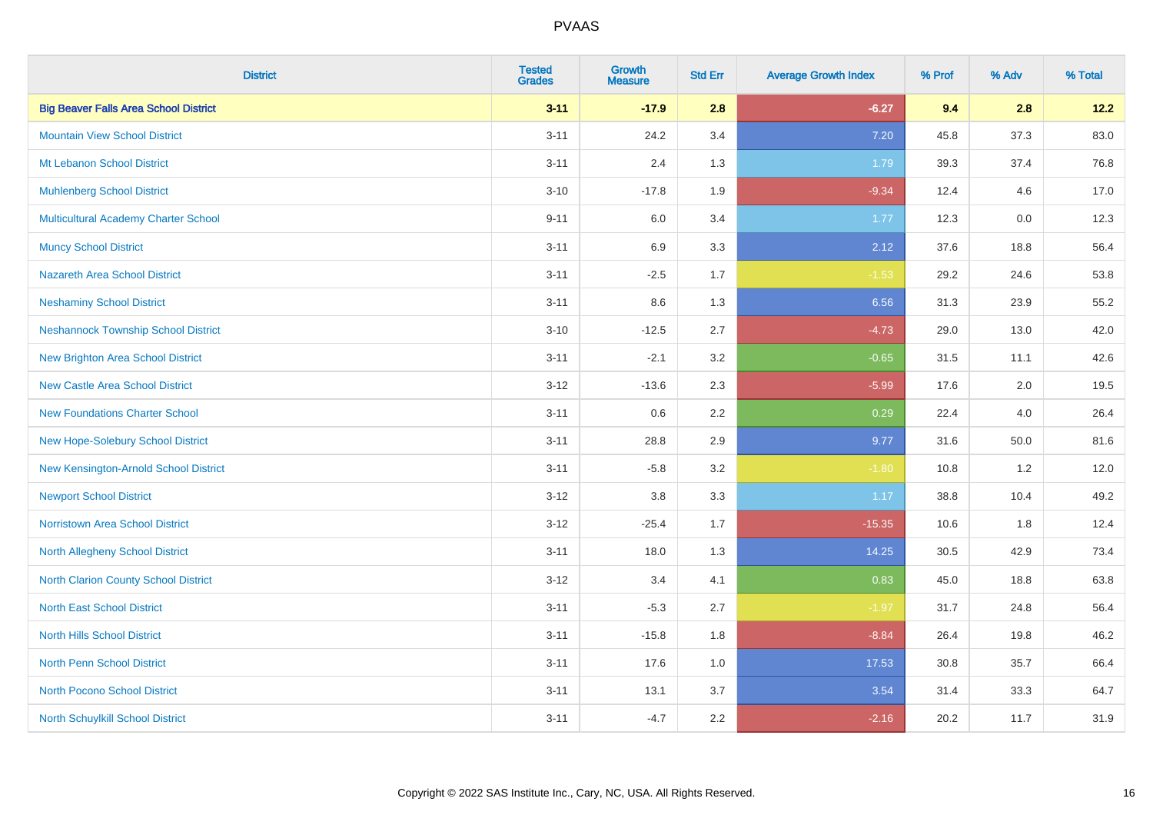| <b>District</b>                              | <b>Tested</b><br><b>Grades</b> | <b>Growth</b><br><b>Measure</b> | <b>Std Err</b> | <b>Average Growth Index</b> | % Prof | % Adv | % Total |
|----------------------------------------------|--------------------------------|---------------------------------|----------------|-----------------------------|--------|-------|---------|
| <b>Big Beaver Falls Area School District</b> | $3 - 11$                       | $-17.9$                         | 2.8            | $-6.27$                     | 9.4    | 2.8   | 12.2    |
| <b>Mountain View School District</b>         | $3 - 11$                       | 24.2                            | 3.4            | 7.20                        | 45.8   | 37.3  | 83.0    |
| Mt Lebanon School District                   | $3 - 11$                       | 2.4                             | 1.3            | 1.79                        | 39.3   | 37.4  | 76.8    |
| <b>Muhlenberg School District</b>            | $3 - 10$                       | $-17.8$                         | 1.9            | $-9.34$                     | 12.4   | 4.6   | 17.0    |
| <b>Multicultural Academy Charter School</b>  | $9 - 11$                       | 6.0                             | 3.4            | 1.77                        | 12.3   | 0.0   | 12.3    |
| <b>Muncy School District</b>                 | $3 - 11$                       | 6.9                             | 3.3            | 2.12                        | 37.6   | 18.8  | 56.4    |
| <b>Nazareth Area School District</b>         | $3 - 11$                       | $-2.5$                          | 1.7            | $-1.53$                     | 29.2   | 24.6  | 53.8    |
| <b>Neshaminy School District</b>             | $3 - 11$                       | $8.6\,$                         | 1.3            | 6.56                        | 31.3   | 23.9  | 55.2    |
| <b>Neshannock Township School District</b>   | $3 - 10$                       | $-12.5$                         | 2.7            | $-4.73$                     | 29.0   | 13.0  | 42.0    |
| <b>New Brighton Area School District</b>     | $3 - 11$                       | $-2.1$                          | 3.2            | $-0.65$                     | 31.5   | 11.1  | 42.6    |
| <b>New Castle Area School District</b>       | $3 - 12$                       | $-13.6$                         | 2.3            | $-5.99$                     | 17.6   | 2.0   | 19.5    |
| <b>New Foundations Charter School</b>        | $3 - 11$                       | $0.6\,$                         | 2.2            | 0.29                        | 22.4   | 4.0   | 26.4    |
| New Hope-Solebury School District            | $3 - 11$                       | 28.8                            | 2.9            | 9.77                        | 31.6   | 50.0  | 81.6    |
| New Kensington-Arnold School District        | $3 - 11$                       | $-5.8$                          | 3.2            | $-1.80$                     | 10.8   | 1.2   | 12.0    |
| <b>Newport School District</b>               | $3 - 12$                       | $3.8\,$                         | 3.3            | 1.17                        | 38.8   | 10.4  | 49.2    |
| <b>Norristown Area School District</b>       | $3 - 12$                       | $-25.4$                         | 1.7            | $-15.35$                    | 10.6   | 1.8   | 12.4    |
| <b>North Allegheny School District</b>       | $3 - 11$                       | 18.0                            | 1.3            | 14.25                       | 30.5   | 42.9  | 73.4    |
| <b>North Clarion County School District</b>  | $3 - 12$                       | 3.4                             | 4.1            | 0.83                        | 45.0   | 18.8  | 63.8    |
| <b>North East School District</b>            | $3 - 11$                       | $-5.3$                          | 2.7            | $-1.97$                     | 31.7   | 24.8  | 56.4    |
| <b>North Hills School District</b>           | $3 - 11$                       | $-15.8$                         | 1.8            | $-8.84$                     | 26.4   | 19.8  | 46.2    |
| <b>North Penn School District</b>            | $3 - 11$                       | 17.6                            | 1.0            | 17.53                       | 30.8   | 35.7  | 66.4    |
| <b>North Pocono School District</b>          | $3 - 11$                       | 13.1                            | 3.7            | 3.54                        | 31.4   | 33.3  | 64.7    |
| North Schuylkill School District             | $3 - 11$                       | $-4.7$                          | 2.2            | $-2.16$                     | 20.2   | 11.7  | 31.9    |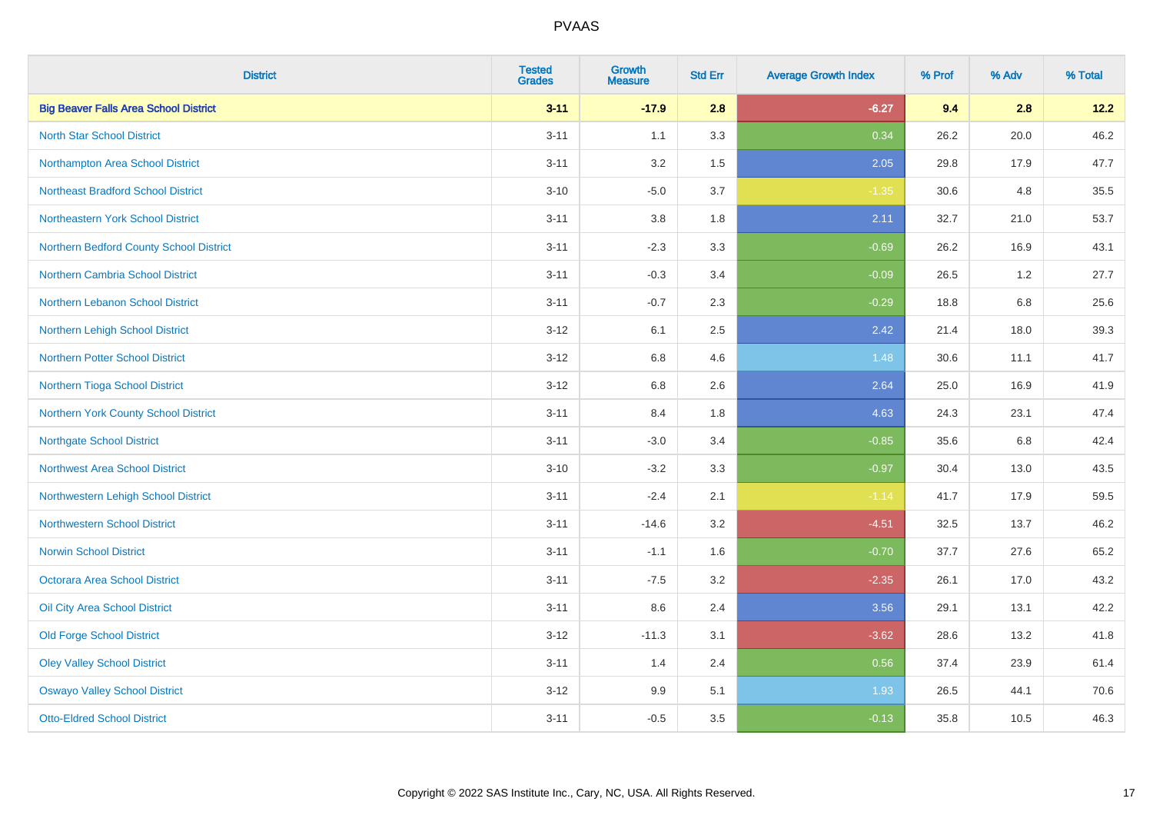| <b>District</b>                              | <b>Tested</b><br><b>Grades</b> | <b>Growth</b><br><b>Measure</b> | <b>Std Err</b> | <b>Average Growth Index</b> | % Prof | % Adv   | % Total |
|----------------------------------------------|--------------------------------|---------------------------------|----------------|-----------------------------|--------|---------|---------|
| <b>Big Beaver Falls Area School District</b> | $3 - 11$                       | $-17.9$                         | 2.8            | $-6.27$                     | 9.4    | 2.8     | 12.2    |
| <b>North Star School District</b>            | $3 - 11$                       | 1.1                             | 3.3            | 0.34                        | 26.2   | 20.0    | 46.2    |
| Northampton Area School District             | $3 - 11$                       | 3.2                             | 1.5            | 2.05                        | 29.8   | 17.9    | 47.7    |
| <b>Northeast Bradford School District</b>    | $3 - 10$                       | $-5.0$                          | 3.7            | $-1.35$                     | 30.6   | 4.8     | 35.5    |
| Northeastern York School District            | $3 - 11$                       | 3.8                             | 1.8            | 2.11                        | 32.7   | 21.0    | 53.7    |
| Northern Bedford County School District      | $3 - 11$                       | $-2.3$                          | 3.3            | $-0.69$                     | 26.2   | 16.9    | 43.1    |
| Northern Cambria School District             | $3 - 11$                       | $-0.3$                          | 3.4            | $-0.09$                     | 26.5   | 1.2     | 27.7    |
| Northern Lebanon School District             | $3 - 11$                       | $-0.7$                          | 2.3            | $-0.29$                     | 18.8   | 6.8     | 25.6    |
| Northern Lehigh School District              | $3 - 12$                       | 6.1                             | 2.5            | 2.42                        | 21.4   | 18.0    | 39.3    |
| Northern Potter School District              | $3 - 12$                       | 6.8                             | 4.6            | 1.48                        | 30.6   | 11.1    | 41.7    |
| Northern Tioga School District               | $3 - 12$                       | 6.8                             | 2.6            | 2.64                        | 25.0   | 16.9    | 41.9    |
| Northern York County School District         | $3 - 11$                       | 8.4                             | 1.8            | 4.63                        | 24.3   | 23.1    | 47.4    |
| <b>Northgate School District</b>             | $3 - 11$                       | $-3.0$                          | 3.4            | $-0.85$                     | 35.6   | $6.8\,$ | 42.4    |
| <b>Northwest Area School District</b>        | $3 - 10$                       | $-3.2$                          | 3.3            | $-0.97$                     | 30.4   | 13.0    | 43.5    |
| Northwestern Lehigh School District          | $3 - 11$                       | $-2.4$                          | 2.1            | $-1.14$                     | 41.7   | 17.9    | 59.5    |
| <b>Northwestern School District</b>          | $3 - 11$                       | $-14.6$                         | 3.2            | $-4.51$                     | 32.5   | 13.7    | 46.2    |
| <b>Norwin School District</b>                | $3 - 11$                       | $-1.1$                          | 1.6            | $-0.70$                     | 37.7   | 27.6    | 65.2    |
| <b>Octorara Area School District</b>         | $3 - 11$                       | $-7.5$                          | 3.2            | $-2.35$                     | 26.1   | 17.0    | 43.2    |
| Oil City Area School District                | $3 - 11$                       | 8.6                             | 2.4            | 3.56                        | 29.1   | 13.1    | 42.2    |
| <b>Old Forge School District</b>             | $3 - 12$                       | $-11.3$                         | 3.1            | $-3.62$                     | 28.6   | 13.2    | 41.8    |
| <b>Oley Valley School District</b>           | $3 - 11$                       | 1.4                             | 2.4            | 0.56                        | 37.4   | 23.9    | 61.4    |
| <b>Oswayo Valley School District</b>         | $3 - 12$                       | 9.9                             | 5.1            | 1.93                        | 26.5   | 44.1    | 70.6    |
| <b>Otto-Eldred School District</b>           | $3 - 11$                       | $-0.5$                          | 3.5            | $-0.13$                     | 35.8   | 10.5    | 46.3    |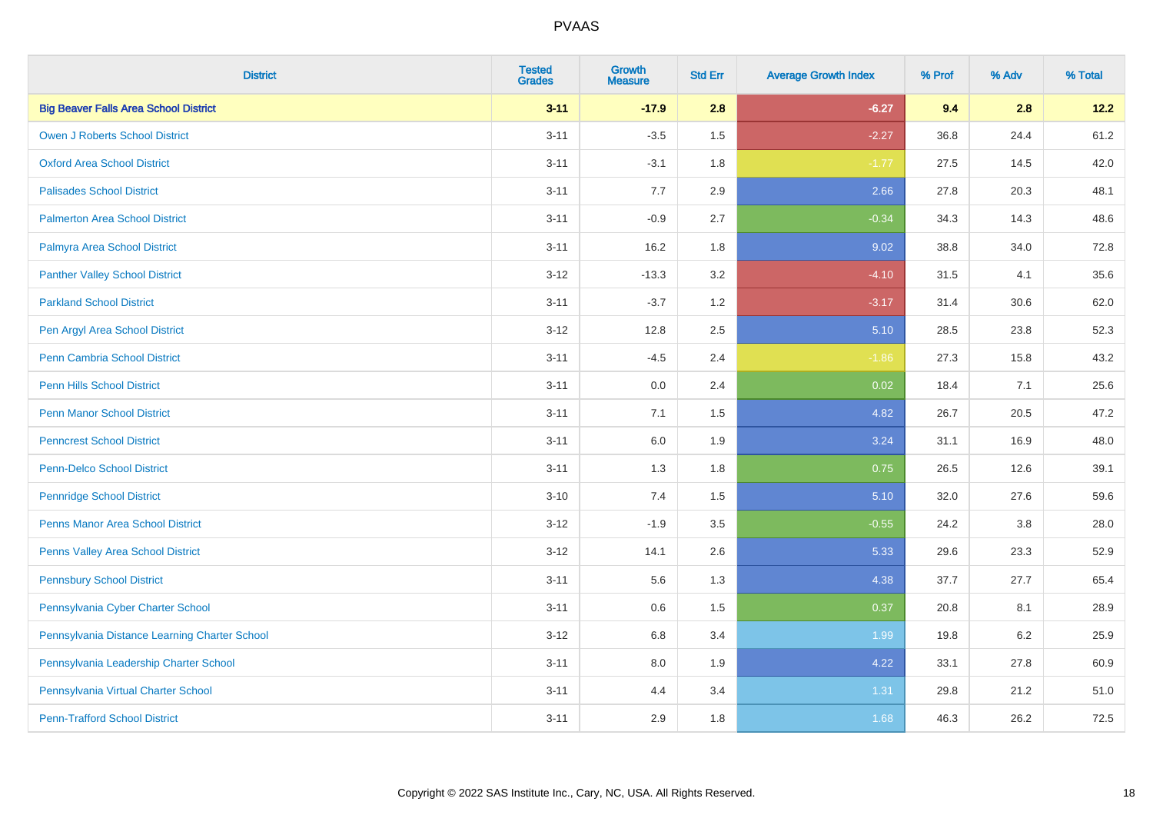| <b>District</b>                               | <b>Tested</b><br><b>Grades</b> | <b>Growth</b><br><b>Measure</b> | <b>Std Err</b> | <b>Average Growth Index</b> | % Prof | % Adv | % Total |
|-----------------------------------------------|--------------------------------|---------------------------------|----------------|-----------------------------|--------|-------|---------|
| <b>Big Beaver Falls Area School District</b>  | $3 - 11$                       | $-17.9$                         | 2.8            | $-6.27$                     | 9.4    | 2.8   | 12.2    |
| <b>Owen J Roberts School District</b>         | $3 - 11$                       | $-3.5$                          | 1.5            | $-2.27$                     | 36.8   | 24.4  | 61.2    |
| <b>Oxford Area School District</b>            | $3 - 11$                       | $-3.1$                          | 1.8            | $-1.77$                     | 27.5   | 14.5  | 42.0    |
| <b>Palisades School District</b>              | $3 - 11$                       | 7.7                             | 2.9            | 2.66                        | 27.8   | 20.3  | 48.1    |
| <b>Palmerton Area School District</b>         | $3 - 11$                       | $-0.9$                          | 2.7            | $-0.34$                     | 34.3   | 14.3  | 48.6    |
| Palmyra Area School District                  | $3 - 11$                       | 16.2                            | 1.8            | 9.02                        | 38.8   | 34.0  | 72.8    |
| <b>Panther Valley School District</b>         | $3 - 12$                       | $-13.3$                         | 3.2            | $-4.10$                     | 31.5   | 4.1   | 35.6    |
| <b>Parkland School District</b>               | $3 - 11$                       | $-3.7$                          | 1.2            | $-3.17$                     | 31.4   | 30.6  | 62.0    |
| Pen Argyl Area School District                | $3 - 12$                       | 12.8                            | 2.5            | 5.10                        | 28.5   | 23.8  | 52.3    |
| <b>Penn Cambria School District</b>           | $3 - 11$                       | $-4.5$                          | 2.4            | $-1.86$                     | 27.3   | 15.8  | 43.2    |
| <b>Penn Hills School District</b>             | $3 - 11$                       | 0.0                             | 2.4            | 0.02                        | 18.4   | 7.1   | 25.6    |
| <b>Penn Manor School District</b>             | $3 - 11$                       | 7.1                             | 1.5            | 4.82                        | 26.7   | 20.5  | 47.2    |
| <b>Penncrest School District</b>              | $3 - 11$                       | 6.0                             | 1.9            | 3.24                        | 31.1   | 16.9  | 48.0    |
| <b>Penn-Delco School District</b>             | $3 - 11$                       | 1.3                             | 1.8            | 0.75                        | 26.5   | 12.6  | 39.1    |
| <b>Pennridge School District</b>              | $3 - 10$                       | 7.4                             | 1.5            | 5.10                        | 32.0   | 27.6  | 59.6    |
| <b>Penns Manor Area School District</b>       | $3 - 12$                       | $-1.9$                          | 3.5            | $-0.55$                     | 24.2   | 3.8   | 28.0    |
| <b>Penns Valley Area School District</b>      | $3 - 12$                       | 14.1                            | 2.6            | 5.33                        | 29.6   | 23.3  | 52.9    |
| <b>Pennsbury School District</b>              | $3 - 11$                       | 5.6                             | 1.3            | 4.38                        | 37.7   | 27.7  | 65.4    |
| Pennsylvania Cyber Charter School             | $3 - 11$                       | 0.6                             | 1.5            | 0.37                        | 20.8   | 8.1   | 28.9    |
| Pennsylvania Distance Learning Charter School | $3 - 12$                       | 6.8                             | 3.4            | 1.99                        | 19.8   | 6.2   | 25.9    |
| Pennsylvania Leadership Charter School        | $3 - 11$                       | 8.0                             | 1.9            | 4.22                        | 33.1   | 27.8  | 60.9    |
| Pennsylvania Virtual Charter School           | $3 - 11$                       | 4.4                             | 3.4            | 1.31                        | 29.8   | 21.2  | 51.0    |
| <b>Penn-Trafford School District</b>          | $3 - 11$                       | 2.9                             | 1.8            | 1.68                        | 46.3   | 26.2  | 72.5    |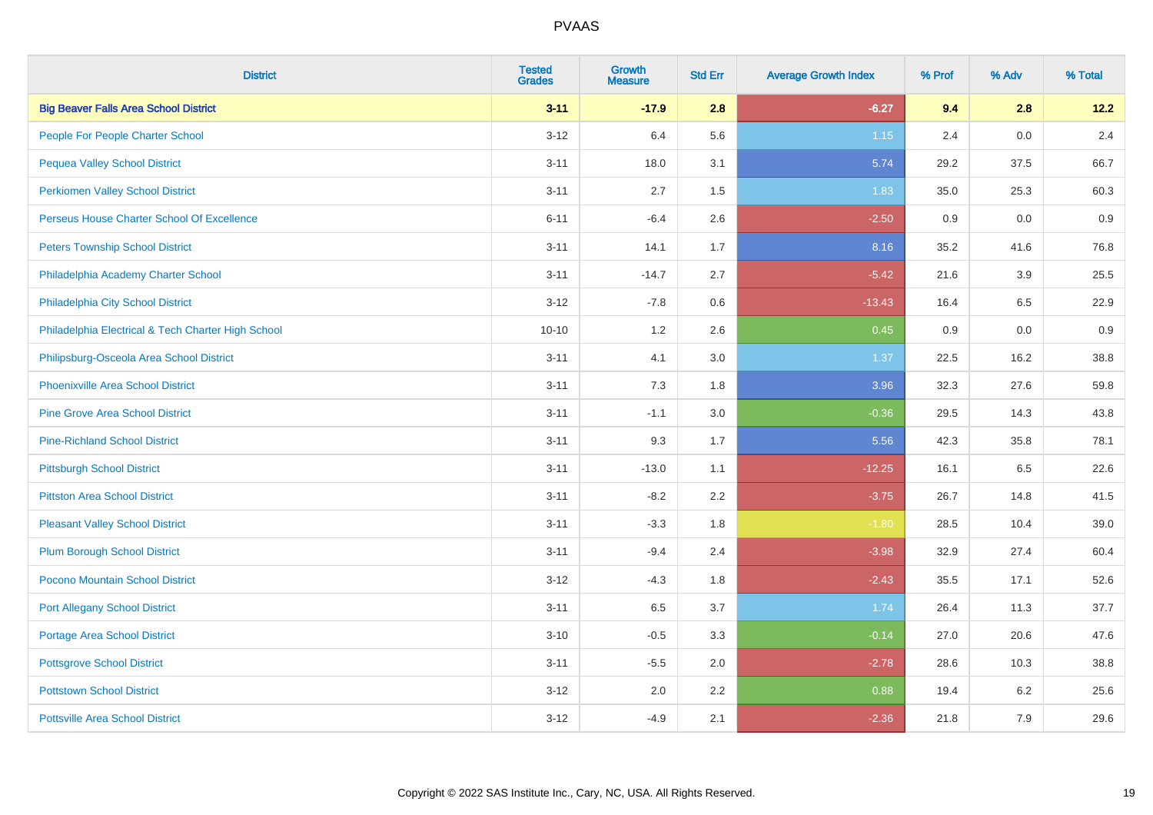| <b>District</b>                                    | <b>Tested</b><br><b>Grades</b> | <b>Growth</b><br><b>Measure</b> | <b>Std Err</b> | <b>Average Growth Index</b> | % Prof | % Adv | % Total |
|----------------------------------------------------|--------------------------------|---------------------------------|----------------|-----------------------------|--------|-------|---------|
| <b>Big Beaver Falls Area School District</b>       | $3 - 11$                       | $-17.9$                         | 2.8            | $-6.27$                     | 9.4    | 2.8   | 12.2    |
| People For People Charter School                   | $3 - 12$                       | 6.4                             | 5.6            | 1.15                        | 2.4    | 0.0   | 2.4     |
| <b>Pequea Valley School District</b>               | $3 - 11$                       | 18.0                            | 3.1            | 5.74                        | 29.2   | 37.5  | 66.7    |
| <b>Perkiomen Valley School District</b>            | $3 - 11$                       | 2.7                             | 1.5            | 1.83                        | 35.0   | 25.3  | 60.3    |
| Perseus House Charter School Of Excellence         | $6 - 11$                       | $-6.4$                          | 2.6            | $-2.50$                     | 0.9    | 0.0   | 0.9     |
| <b>Peters Township School District</b>             | $3 - 11$                       | 14.1                            | 1.7            | 8.16                        | 35.2   | 41.6  | 76.8    |
| Philadelphia Academy Charter School                | $3 - 11$                       | $-14.7$                         | 2.7            | $-5.42$                     | 21.6   | 3.9   | 25.5    |
| Philadelphia City School District                  | $3 - 12$                       | $-7.8$                          | 0.6            | $-13.43$                    | 16.4   | 6.5   | 22.9    |
| Philadelphia Electrical & Tech Charter High School | $10 - 10$                      | 1.2                             | 2.6            | 0.45                        | 0.9    | 0.0   | 0.9     |
| Philipsburg-Osceola Area School District           | $3 - 11$                       | 4.1                             | 3.0            | 1.37                        | 22.5   | 16.2  | 38.8    |
| <b>Phoenixville Area School District</b>           | $3 - 11$                       | 7.3                             | 1.8            | 3.96                        | 32.3   | 27.6  | 59.8    |
| <b>Pine Grove Area School District</b>             | $3 - 11$                       | $-1.1$                          | 3.0            | $-0.36$                     | 29.5   | 14.3  | 43.8    |
| <b>Pine-Richland School District</b>               | $3 - 11$                       | 9.3                             | 1.7            | 5.56                        | 42.3   | 35.8  | 78.1    |
| <b>Pittsburgh School District</b>                  | $3 - 11$                       | $-13.0$                         | 1.1            | $-12.25$                    | 16.1   | 6.5   | 22.6    |
| <b>Pittston Area School District</b>               | $3 - 11$                       | $-8.2$                          | 2.2            | $-3.75$                     | 26.7   | 14.8  | 41.5    |
| <b>Pleasant Valley School District</b>             | $3 - 11$                       | $-3.3$                          | 1.8            | $-1.80$                     | 28.5   | 10.4  | 39.0    |
| <b>Plum Borough School District</b>                | $3 - 11$                       | $-9.4$                          | 2.4            | $-3.98$                     | 32.9   | 27.4  | 60.4    |
| Pocono Mountain School District                    | $3 - 12$                       | $-4.3$                          | 1.8            | $-2.43$                     | 35.5   | 17.1  | 52.6    |
| <b>Port Allegany School District</b>               | $3 - 11$                       | 6.5                             | 3.7            | 1.74                        | 26.4   | 11.3  | 37.7    |
| Portage Area School District                       | $3 - 10$                       | $-0.5$                          | 3.3            | $-0.14$                     | 27.0   | 20.6  | 47.6    |
| <b>Pottsgrove School District</b>                  | $3 - 11$                       | $-5.5$                          | 2.0            | $-2.78$                     | 28.6   | 10.3  | 38.8    |
| <b>Pottstown School District</b>                   | $3 - 12$                       | 2.0                             | 2.2            | 0.88                        | 19.4   | 6.2   | 25.6    |
| <b>Pottsville Area School District</b>             | $3 - 12$                       | $-4.9$                          | 2.1            | $-2.36$                     | 21.8   | 7.9   | 29.6    |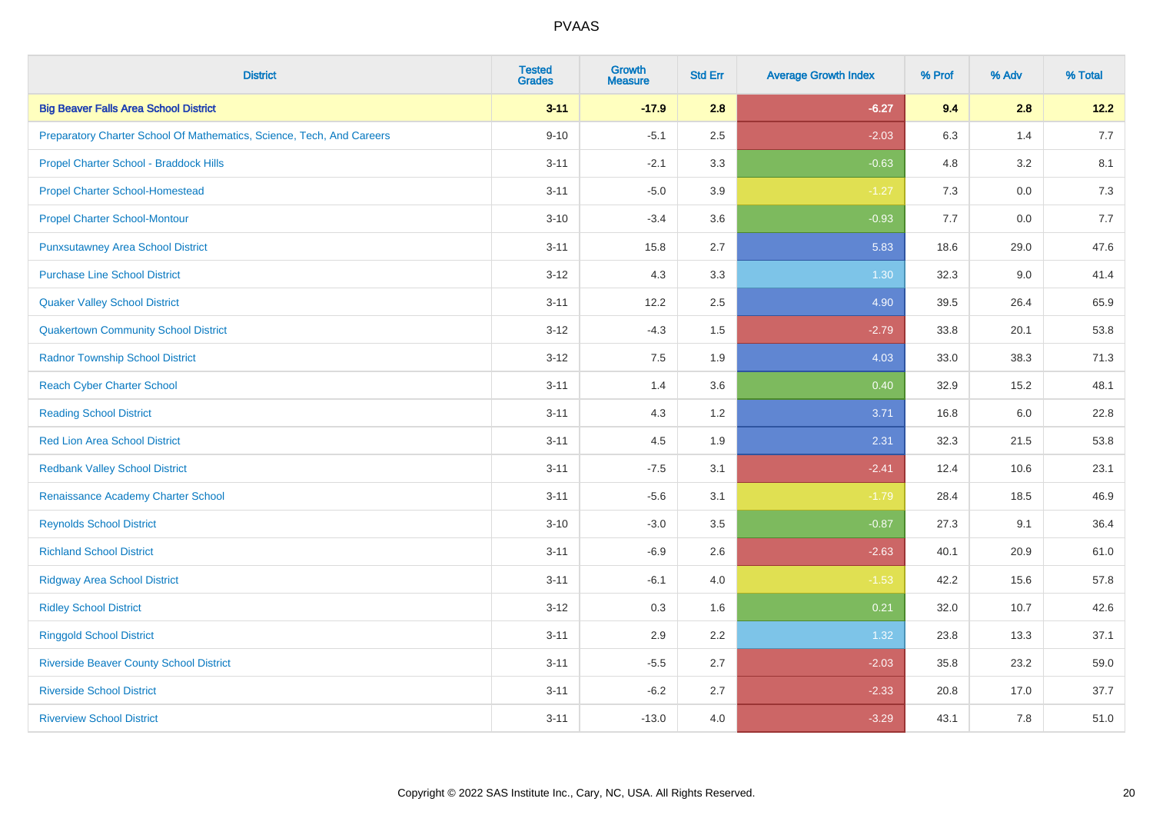| <b>District</b>                                                       | <b>Tested</b><br><b>Grades</b> | <b>Growth</b><br><b>Measure</b> | <b>Std Err</b> | <b>Average Growth Index</b> | % Prof | % Adv   | % Total |
|-----------------------------------------------------------------------|--------------------------------|---------------------------------|----------------|-----------------------------|--------|---------|---------|
| <b>Big Beaver Falls Area School District</b>                          | $3 - 11$                       | $-17.9$                         | 2.8            | $-6.27$                     | 9.4    | 2.8     | 12.2    |
| Preparatory Charter School Of Mathematics, Science, Tech, And Careers | $9 - 10$                       | $-5.1$                          | 2.5            | $-2.03$                     | 6.3    | 1.4     | 7.7     |
| Propel Charter School - Braddock Hills                                | $3 - 11$                       | $-2.1$                          | 3.3            | $-0.63$                     | 4.8    | 3.2     | 8.1     |
| <b>Propel Charter School-Homestead</b>                                | $3 - 11$                       | $-5.0$                          | 3.9            | $-1.27$                     | 7.3    | $0.0\,$ | 7.3     |
| <b>Propel Charter School-Montour</b>                                  | $3 - 10$                       | $-3.4$                          | 3.6            | $-0.93$                     | 7.7    | 0.0     | 7.7     |
| <b>Punxsutawney Area School District</b>                              | $3 - 11$                       | 15.8                            | 2.7            | 5.83                        | 18.6   | 29.0    | 47.6    |
| <b>Purchase Line School District</b>                                  | $3 - 12$                       | 4.3                             | 3.3            | 1.30                        | 32.3   | 9.0     | 41.4    |
| <b>Quaker Valley School District</b>                                  | $3 - 11$                       | 12.2                            | 2.5            | 4.90                        | 39.5   | 26.4    | 65.9    |
| <b>Quakertown Community School District</b>                           | $3 - 12$                       | $-4.3$                          | 1.5            | $-2.79$                     | 33.8   | 20.1    | 53.8    |
| <b>Radnor Township School District</b>                                | $3 - 12$                       | 7.5                             | 1.9            | 4.03                        | 33.0   | 38.3    | 71.3    |
| <b>Reach Cyber Charter School</b>                                     | $3 - 11$                       | 1.4                             | 3.6            | 0.40                        | 32.9   | 15.2    | 48.1    |
| <b>Reading School District</b>                                        | $3 - 11$                       | 4.3                             | 1.2            | 3.71                        | 16.8   | 6.0     | 22.8    |
| <b>Red Lion Area School District</b>                                  | $3 - 11$                       | 4.5                             | 1.9            | 2.31                        | 32.3   | 21.5    | 53.8    |
| <b>Redbank Valley School District</b>                                 | $3 - 11$                       | $-7.5$                          | 3.1            | $-2.41$                     | 12.4   | 10.6    | 23.1    |
| Renaissance Academy Charter School                                    | $3 - 11$                       | $-5.6$                          | 3.1            | $-1.79$                     | 28.4   | 18.5    | 46.9    |
| <b>Reynolds School District</b>                                       | $3 - 10$                       | $-3.0$                          | 3.5            | $-0.87$                     | 27.3   | 9.1     | 36.4    |
| <b>Richland School District</b>                                       | $3 - 11$                       | $-6.9$                          | 2.6            | $-2.63$                     | 40.1   | 20.9    | 61.0    |
| <b>Ridgway Area School District</b>                                   | $3 - 11$                       | $-6.1$                          | 4.0            | $-1.53$                     | 42.2   | 15.6    | 57.8    |
| <b>Ridley School District</b>                                         | $3 - 12$                       | 0.3                             | 1.6            | 0.21                        | 32.0   | 10.7    | 42.6    |
| <b>Ringgold School District</b>                                       | $3 - 11$                       | 2.9                             | 2.2            | 1.32                        | 23.8   | 13.3    | 37.1    |
| <b>Riverside Beaver County School District</b>                        | $3 - 11$                       | $-5.5$                          | 2.7            | $-2.03$                     | 35.8   | 23.2    | 59.0    |
| <b>Riverside School District</b>                                      | $3 - 11$                       | $-6.2$                          | 2.7            | $-2.33$                     | 20.8   | 17.0    | 37.7    |
| <b>Riverview School District</b>                                      | $3 - 11$                       | $-13.0$                         | 4.0            | $-3.29$                     | 43.1   | 7.8     | 51.0    |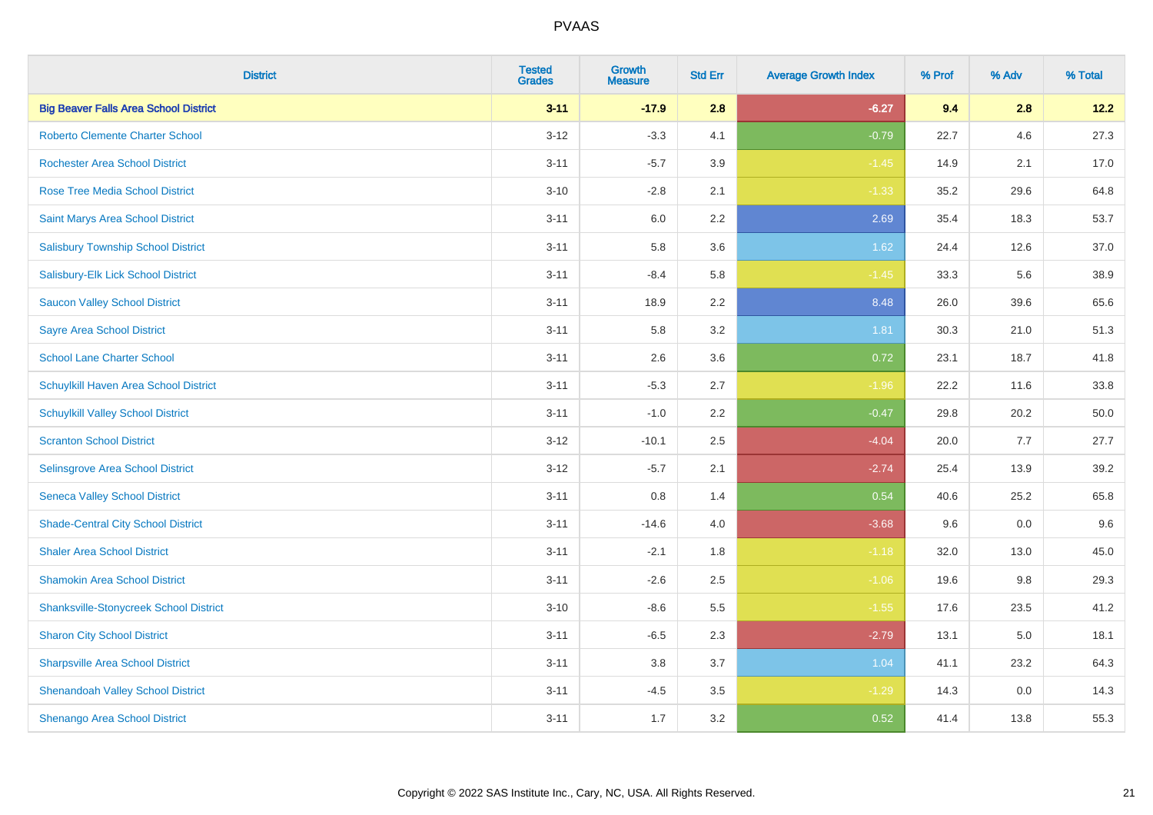| <b>District</b>                               | <b>Tested</b><br><b>Grades</b> | <b>Growth</b><br><b>Measure</b> | <b>Std Err</b> | <b>Average Growth Index</b> | % Prof | % Adv   | % Total |
|-----------------------------------------------|--------------------------------|---------------------------------|----------------|-----------------------------|--------|---------|---------|
| <b>Big Beaver Falls Area School District</b>  | $3 - 11$                       | $-17.9$                         | 2.8            | $-6.27$                     | 9.4    | 2.8     | 12.2    |
| <b>Roberto Clemente Charter School</b>        | $3 - 12$                       | $-3.3$                          | 4.1            | $-0.79$                     | 22.7   | 4.6     | 27.3    |
| <b>Rochester Area School District</b>         | $3 - 11$                       | $-5.7$                          | 3.9            | $-1.45$                     | 14.9   | 2.1     | 17.0    |
| <b>Rose Tree Media School District</b>        | $3 - 10$                       | $-2.8$                          | 2.1            | $-1.33$                     | 35.2   | 29.6    | 64.8    |
| Saint Marys Area School District              | $3 - 11$                       | 6.0                             | 2.2            | 2.69                        | 35.4   | 18.3    | 53.7    |
| <b>Salisbury Township School District</b>     | $3 - 11$                       | 5.8                             | 3.6            | 1.62                        | 24.4   | 12.6    | 37.0    |
| Salisbury-Elk Lick School District            | $3 - 11$                       | $-8.4$                          | 5.8            | $-1.45$                     | 33.3   | 5.6     | 38.9    |
| <b>Saucon Valley School District</b>          | $3 - 11$                       | 18.9                            | 2.2            | 8.48                        | 26.0   | 39.6    | 65.6    |
| <b>Sayre Area School District</b>             | $3 - 11$                       | 5.8                             | 3.2            | 1.81                        | 30.3   | 21.0    | 51.3    |
| <b>School Lane Charter School</b>             | $3 - 11$                       | 2.6                             | 3.6            | 0.72                        | 23.1   | 18.7    | 41.8    |
| Schuylkill Haven Area School District         | $3 - 11$                       | $-5.3$                          | 2.7            | $-1.96$                     | 22.2   | 11.6    | 33.8    |
| <b>Schuylkill Valley School District</b>      | $3 - 11$                       | $-1.0$                          | 2.2            | $-0.47$                     | 29.8   | 20.2    | 50.0    |
| <b>Scranton School District</b>               | $3 - 12$                       | $-10.1$                         | 2.5            | $-4.04$                     | 20.0   | 7.7     | 27.7    |
| <b>Selinsgrove Area School District</b>       | $3 - 12$                       | $-5.7$                          | 2.1            | $-2.74$                     | 25.4   | 13.9    | 39.2    |
| <b>Seneca Valley School District</b>          | $3 - 11$                       | 0.8                             | 1.4            | 0.54                        | 40.6   | 25.2    | 65.8    |
| <b>Shade-Central City School District</b>     | $3 - 11$                       | $-14.6$                         | 4.0            | $-3.68$                     | 9.6    | $0.0\,$ | 9.6     |
| <b>Shaler Area School District</b>            | $3 - 11$                       | $-2.1$                          | 1.8            | $-1.18$                     | 32.0   | 13.0    | 45.0    |
| <b>Shamokin Area School District</b>          | $3 - 11$                       | $-2.6$                          | 2.5            | $-1.06$                     | 19.6   | 9.8     | 29.3    |
| <b>Shanksville-Stonycreek School District</b> | $3 - 10$                       | $-8.6$                          | 5.5            | $-1.55$                     | 17.6   | 23.5    | 41.2    |
| <b>Sharon City School District</b>            | $3 - 11$                       | $-6.5$                          | 2.3            | $-2.79$                     | 13.1   | 5.0     | 18.1    |
| <b>Sharpsville Area School District</b>       | $3 - 11$                       | 3.8                             | 3.7            | 1.04                        | 41.1   | 23.2    | 64.3    |
| <b>Shenandoah Valley School District</b>      | $3 - 11$                       | $-4.5$                          | 3.5            | $-1.29$                     | 14.3   | 0.0     | 14.3    |
| Shenango Area School District                 | $3 - 11$                       | 1.7                             | 3.2            | 0.52                        | 41.4   | 13.8    | 55.3    |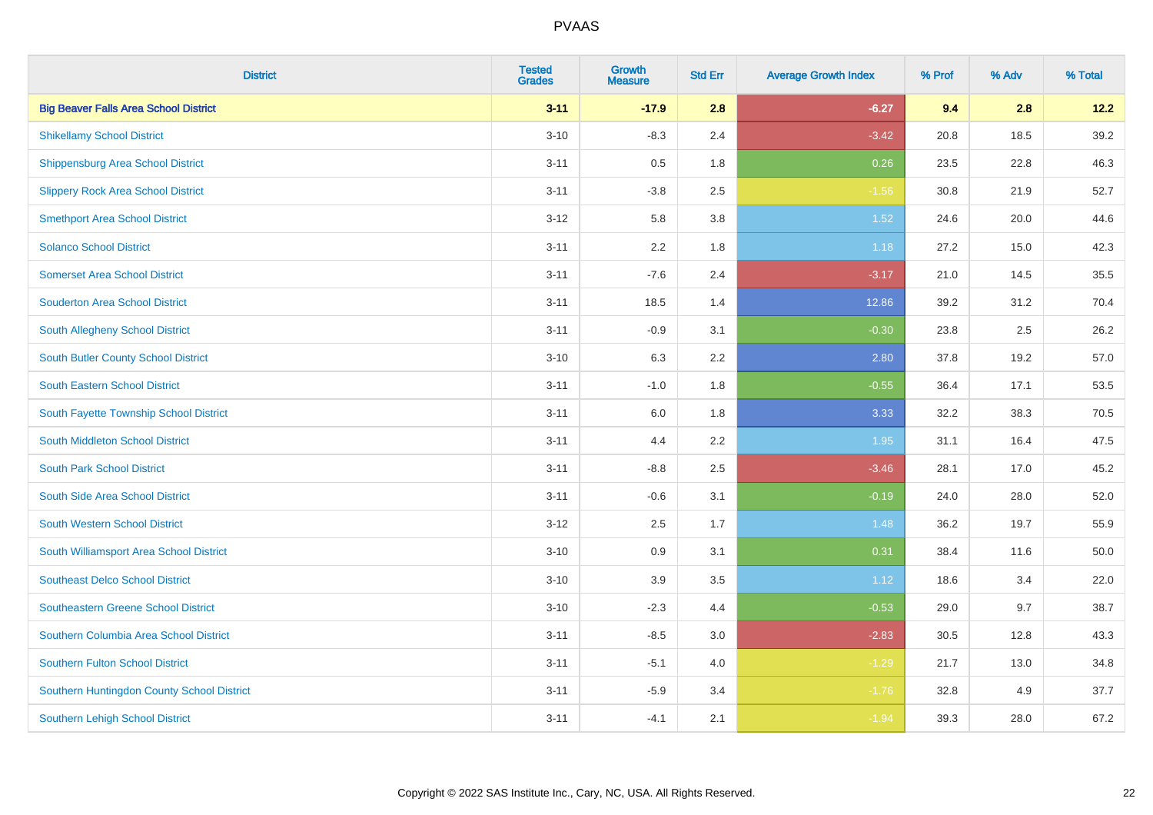| <b>District</b>                              | <b>Tested</b><br><b>Grades</b> | <b>Growth</b><br><b>Measure</b> | <b>Std Err</b> | <b>Average Growth Index</b> | % Prof | % Adv | % Total |
|----------------------------------------------|--------------------------------|---------------------------------|----------------|-----------------------------|--------|-------|---------|
| <b>Big Beaver Falls Area School District</b> | $3 - 11$                       | $-17.9$                         | 2.8            | $-6.27$                     | 9.4    | 2.8   | 12.2    |
| <b>Shikellamy School District</b>            | $3 - 10$                       | $-8.3$                          | 2.4            | $-3.42$                     | 20.8   | 18.5  | 39.2    |
| <b>Shippensburg Area School District</b>     | $3 - 11$                       | 0.5                             | 1.8            | 0.26                        | 23.5   | 22.8  | 46.3    |
| <b>Slippery Rock Area School District</b>    | $3 - 11$                       | $-3.8$                          | 2.5            | $-1.56$                     | 30.8   | 21.9  | 52.7    |
| <b>Smethport Area School District</b>        | $3 - 12$                       | 5.8                             | 3.8            | 1.52                        | 24.6   | 20.0  | 44.6    |
| <b>Solanco School District</b>               | $3 - 11$                       | 2.2                             | 1.8            | 1.18                        | 27.2   | 15.0  | 42.3    |
| <b>Somerset Area School District</b>         | $3 - 11$                       | $-7.6$                          | 2.4            | $-3.17$                     | 21.0   | 14.5  | 35.5    |
| <b>Souderton Area School District</b>        | $3 - 11$                       | 18.5                            | 1.4            | 12.86                       | 39.2   | 31.2  | 70.4    |
| South Allegheny School District              | $3 - 11$                       | $-0.9$                          | 3.1            | $-0.30$                     | 23.8   | 2.5   | 26.2    |
| <b>South Butler County School District</b>   | $3 - 10$                       | 6.3                             | 2.2            | 2.80                        | 37.8   | 19.2  | 57.0    |
| South Eastern School District                | $3 - 11$                       | $-1.0$                          | 1.8            | $-0.55$                     | 36.4   | 17.1  | 53.5    |
| South Fayette Township School District       | $3 - 11$                       | 6.0                             | 1.8            | 3.33                        | 32.2   | 38.3  | 70.5    |
| South Middleton School District              | $3 - 11$                       | 4.4                             | 2.2            | 1.95                        | 31.1   | 16.4  | 47.5    |
| <b>South Park School District</b>            | $3 - 11$                       | $-8.8$                          | 2.5            | $-3.46$                     | 28.1   | 17.0  | 45.2    |
| South Side Area School District              | $3 - 11$                       | $-0.6$                          | 3.1            | $-0.19$                     | 24.0   | 28.0  | 52.0    |
| South Western School District                | $3 - 12$                       | 2.5                             | 1.7            | 1.48                        | 36.2   | 19.7  | 55.9    |
| South Williamsport Area School District      | $3 - 10$                       | $0.9\,$                         | 3.1            | 0.31                        | 38.4   | 11.6  | 50.0    |
| <b>Southeast Delco School District</b>       | $3 - 10$                       | 3.9                             | 3.5            | 1.12                        | 18.6   | 3.4   | 22.0    |
| <b>Southeastern Greene School District</b>   | $3 - 10$                       | $-2.3$                          | 4.4            | $-0.53$                     | 29.0   | 9.7   | 38.7    |
| Southern Columbia Area School District       | $3 - 11$                       | $-8.5$                          | 3.0            | $-2.83$                     | 30.5   | 12.8  | 43.3    |
| <b>Southern Fulton School District</b>       | $3 - 11$                       | $-5.1$                          | 4.0            | $-1.29$                     | 21.7   | 13.0  | 34.8    |
| Southern Huntingdon County School District   | $3 - 11$                       | $-5.9$                          | 3.4            | $-1.76$                     | 32.8   | 4.9   | 37.7    |
| <b>Southern Lehigh School District</b>       | $3 - 11$                       | $-4.1$                          | 2.1            | $-1.94$                     | 39.3   | 28.0  | 67.2    |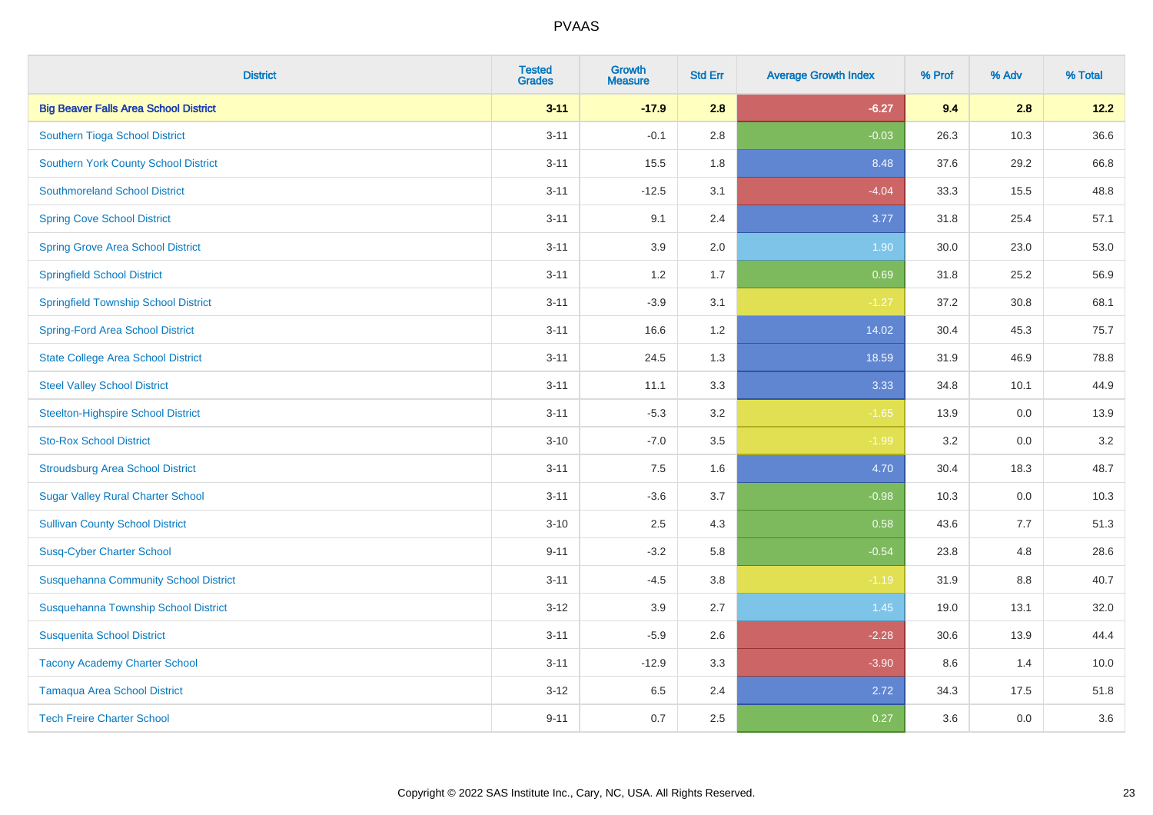| <b>District</b>                              | <b>Tested</b><br><b>Grades</b> | <b>Growth</b><br><b>Measure</b> | <b>Std Err</b> | <b>Average Growth Index</b> | % Prof | % Adv   | % Total |
|----------------------------------------------|--------------------------------|---------------------------------|----------------|-----------------------------|--------|---------|---------|
| <b>Big Beaver Falls Area School District</b> | $3 - 11$                       | $-17.9$                         | 2.8            | $-6.27$                     | 9.4    | 2.8     | 12.2    |
| Southern Tioga School District               | $3 - 11$                       | $-0.1$                          | 2.8            | $-0.03$                     | 26.3   | 10.3    | 36.6    |
| <b>Southern York County School District</b>  | $3 - 11$                       | 15.5                            | 1.8            | 8.48                        | 37.6   | 29.2    | 66.8    |
| <b>Southmoreland School District</b>         | $3 - 11$                       | $-12.5$                         | 3.1            | $-4.04$                     | 33.3   | 15.5    | 48.8    |
| <b>Spring Cove School District</b>           | $3 - 11$                       | 9.1                             | 2.4            | 3.77                        | 31.8   | 25.4    | 57.1    |
| <b>Spring Grove Area School District</b>     | $3 - 11$                       | 3.9                             | 2.0            | 1.90                        | 30.0   | 23.0    | 53.0    |
| <b>Springfield School District</b>           | $3 - 11$                       | 1.2                             | 1.7            | 0.69                        | 31.8   | 25.2    | 56.9    |
| <b>Springfield Township School District</b>  | $3 - 11$                       | $-3.9$                          | 3.1            | $-1.27$                     | 37.2   | 30.8    | 68.1    |
| <b>Spring-Ford Area School District</b>      | $3 - 11$                       | 16.6                            | 1.2            | 14.02                       | 30.4   | 45.3    | 75.7    |
| <b>State College Area School District</b>    | $3 - 11$                       | 24.5                            | 1.3            | 18.59                       | 31.9   | 46.9    | 78.8    |
| <b>Steel Valley School District</b>          | $3 - 11$                       | 11.1                            | 3.3            | 3.33                        | 34.8   | 10.1    | 44.9    |
| <b>Steelton-Highspire School District</b>    | $3 - 11$                       | $-5.3$                          | 3.2            | $-1.65$                     | 13.9   | 0.0     | 13.9    |
| <b>Sto-Rox School District</b>               | $3 - 10$                       | $-7.0$                          | 3.5            | $-1.99$                     | 3.2    | $0.0\,$ | 3.2     |
| <b>Stroudsburg Area School District</b>      | $3 - 11$                       | 7.5                             | 1.6            | 4.70                        | 30.4   | 18.3    | 48.7    |
| <b>Sugar Valley Rural Charter School</b>     | $3 - 11$                       | $-3.6$                          | 3.7            | $-0.98$                     | 10.3   | 0.0     | 10.3    |
| <b>Sullivan County School District</b>       | $3 - 10$                       | 2.5                             | 4.3            | 0.58                        | 43.6   | 7.7     | 51.3    |
| <b>Susq-Cyber Charter School</b>             | $9 - 11$                       | $-3.2$                          | 5.8            | $-0.54$                     | 23.8   | 4.8     | 28.6    |
| <b>Susquehanna Community School District</b> | $3 - 11$                       | $-4.5$                          | 3.8            | $-1.19$                     | 31.9   | 8.8     | 40.7    |
| Susquehanna Township School District         | $3 - 12$                       | 3.9                             | 2.7            | 1.45                        | 19.0   | 13.1    | 32.0    |
| <b>Susquenita School District</b>            | $3 - 11$                       | $-5.9$                          | 2.6            | $-2.28$                     | 30.6   | 13.9    | 44.4    |
| <b>Tacony Academy Charter School</b>         | $3 - 11$                       | $-12.9$                         | 3.3            | $-3.90$                     | 8.6    | 1.4     | 10.0    |
| <b>Tamaqua Area School District</b>          | $3 - 12$                       | 6.5                             | 2.4            | 2.72                        | 34.3   | 17.5    | 51.8    |
| <b>Tech Freire Charter School</b>            | $9 - 11$                       | 0.7                             | 2.5            | 0.27                        | 3.6    | 0.0     | 3.6     |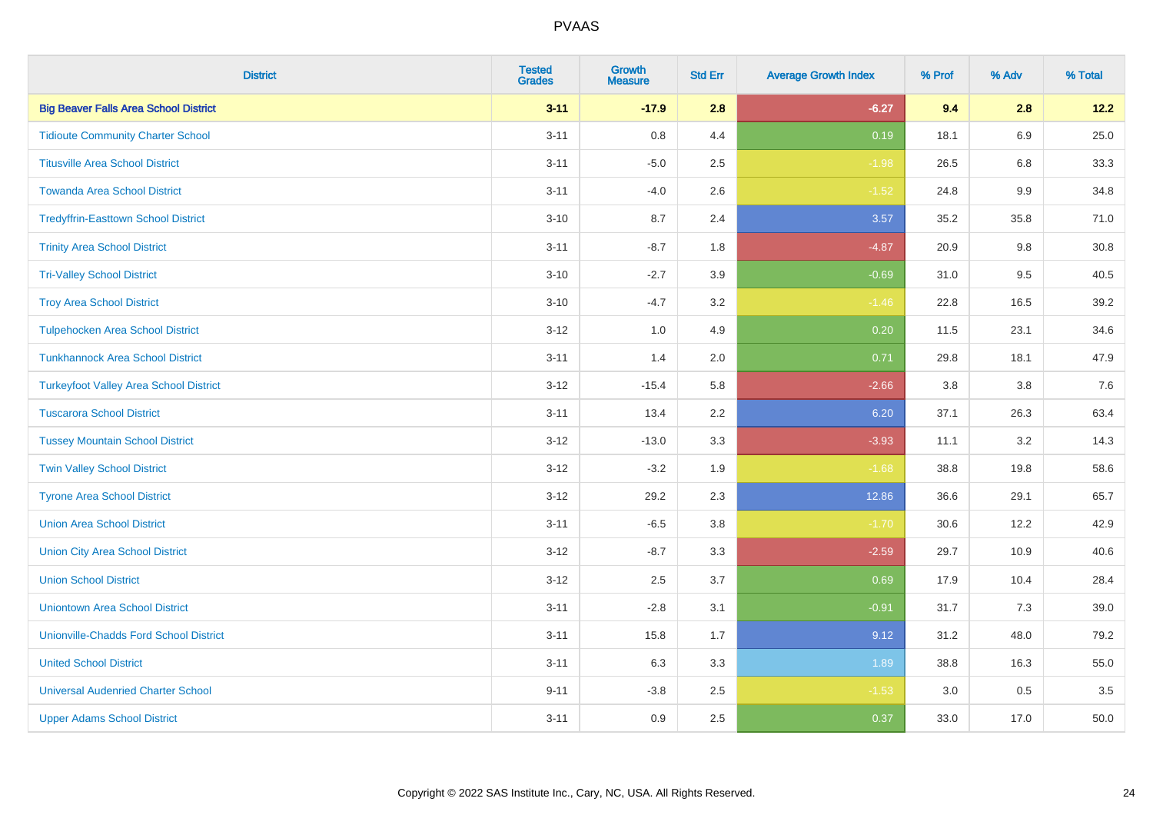| <b>District</b>                               | <b>Tested</b><br><b>Grades</b> | <b>Growth</b><br><b>Measure</b> | <b>Std Err</b> | <b>Average Growth Index</b> | % Prof | % Adv   | % Total |
|-----------------------------------------------|--------------------------------|---------------------------------|----------------|-----------------------------|--------|---------|---------|
| <b>Big Beaver Falls Area School District</b>  | $3 - 11$                       | $-17.9$                         | 2.8            | $-6.27$                     | 9.4    | 2.8     | 12.2    |
| <b>Tidioute Community Charter School</b>      | $3 - 11$                       | $0.8\,$                         | 4.4            | 0.19                        | 18.1   | 6.9     | 25.0    |
| <b>Titusville Area School District</b>        | $3 - 11$                       | $-5.0$                          | 2.5            | $-1.98$                     | 26.5   | 6.8     | 33.3    |
| <b>Towanda Area School District</b>           | $3 - 11$                       | $-4.0$                          | 2.6            | $-1.52$                     | 24.8   | $9.9\,$ | 34.8    |
| <b>Tredyffrin-Easttown School District</b>    | $3 - 10$                       | 8.7                             | 2.4            | 3.57                        | 35.2   | 35.8    | 71.0    |
| <b>Trinity Area School District</b>           | $3 - 11$                       | $-8.7$                          | 1.8            | $-4.87$                     | 20.9   | 9.8     | 30.8    |
| <b>Tri-Valley School District</b>             | $3 - 10$                       | $-2.7$                          | 3.9            | $-0.69$                     | 31.0   | 9.5     | 40.5    |
| <b>Troy Area School District</b>              | $3 - 10$                       | $-4.7$                          | 3.2            | $-1.46$                     | 22.8   | 16.5    | 39.2    |
| <b>Tulpehocken Area School District</b>       | $3 - 12$                       | 1.0                             | 4.9            | 0.20                        | 11.5   | 23.1    | 34.6    |
| <b>Tunkhannock Area School District</b>       | $3 - 11$                       | 1.4                             | 2.0            | 0.71                        | 29.8   | 18.1    | 47.9    |
| <b>Turkeyfoot Valley Area School District</b> | $3 - 12$                       | $-15.4$                         | 5.8            | $-2.66$                     | 3.8    | 3.8     | $7.6$   |
| <b>Tuscarora School District</b>              | $3 - 11$                       | 13.4                            | 2.2            | 6.20                        | 37.1   | 26.3    | 63.4    |
| <b>Tussey Mountain School District</b>        | $3 - 12$                       | $-13.0$                         | 3.3            | $-3.93$                     | 11.1   | 3.2     | 14.3    |
| <b>Twin Valley School District</b>            | $3 - 12$                       | $-3.2$                          | 1.9            | $-1.68$                     | 38.8   | 19.8    | 58.6    |
| <b>Tyrone Area School District</b>            | $3 - 12$                       | 29.2                            | 2.3            | 12.86                       | 36.6   | 29.1    | 65.7    |
| <b>Union Area School District</b>             | $3 - 11$                       | $-6.5$                          | 3.8            | $-1.70$                     | 30.6   | 12.2    | 42.9    |
| <b>Union City Area School District</b>        | $3 - 12$                       | $-8.7$                          | 3.3            | $-2.59$                     | 29.7   | 10.9    | 40.6    |
| <b>Union School District</b>                  | $3 - 12$                       | 2.5                             | 3.7            | 0.69                        | 17.9   | 10.4    | 28.4    |
| <b>Uniontown Area School District</b>         | $3 - 11$                       | $-2.8$                          | 3.1            | $-0.91$                     | 31.7   | 7.3     | 39.0    |
| <b>Unionville-Chadds Ford School District</b> | $3 - 11$                       | 15.8                            | 1.7            | 9.12                        | 31.2   | 48.0    | 79.2    |
| <b>United School District</b>                 | $3 - 11$                       | 6.3                             | 3.3            | 1.89                        | 38.8   | 16.3    | 55.0    |
| <b>Universal Audenried Charter School</b>     | $9 - 11$                       | $-3.8$                          | 2.5            | $-1.53$                     | 3.0    | 0.5     | 3.5     |
| <b>Upper Adams School District</b>            | $3 - 11$                       | 0.9                             | 2.5            | 0.37                        | 33.0   | 17.0    | 50.0    |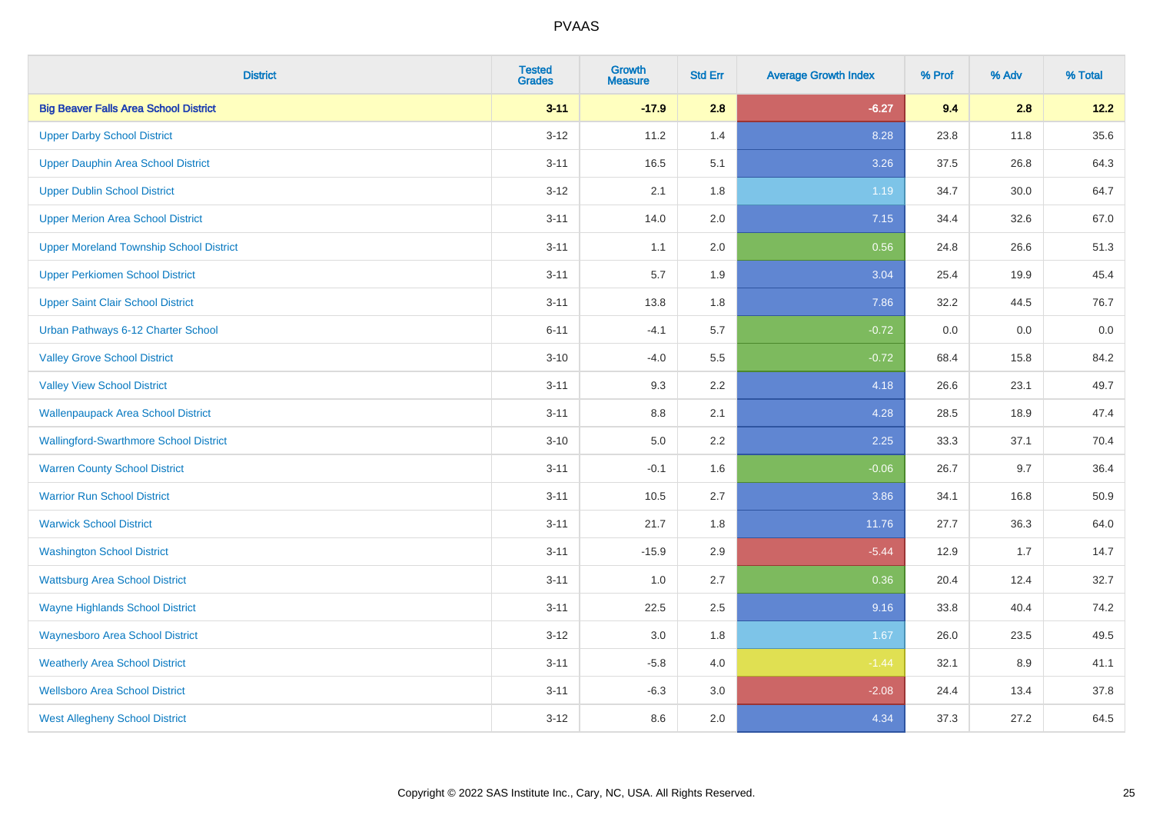| <b>District</b>                                | <b>Tested</b><br><b>Grades</b> | Growth<br><b>Measure</b> | <b>Std Err</b> | <b>Average Growth Index</b> | % Prof | % Adv | % Total |
|------------------------------------------------|--------------------------------|--------------------------|----------------|-----------------------------|--------|-------|---------|
| <b>Big Beaver Falls Area School District</b>   | $3 - 11$                       | $-17.9$                  | 2.8            | $-6.27$                     | 9.4    | 2.8   | 12.2    |
| <b>Upper Darby School District</b>             | $3 - 12$                       | 11.2                     | 1.4            | 8.28                        | 23.8   | 11.8  | 35.6    |
| Upper Dauphin Area School District             | $3 - 11$                       | 16.5                     | 5.1            | 3.26                        | 37.5   | 26.8  | 64.3    |
| <b>Upper Dublin School District</b>            | $3 - 12$                       | 2.1                      | 1.8            | 1.19                        | 34.7   | 30.0  | 64.7    |
| <b>Upper Merion Area School District</b>       | $3 - 11$                       | 14.0                     | 2.0            | 7.15                        | 34.4   | 32.6  | 67.0    |
| <b>Upper Moreland Township School District</b> | $3 - 11$                       | 1.1                      | 2.0            | 0.56                        | 24.8   | 26.6  | 51.3    |
| <b>Upper Perkiomen School District</b>         | $3 - 11$                       | 5.7                      | 1.9            | 3.04                        | 25.4   | 19.9  | 45.4    |
| <b>Upper Saint Clair School District</b>       | $3 - 11$                       | 13.8                     | 1.8            | 7.86                        | 32.2   | 44.5  | 76.7    |
| Urban Pathways 6-12 Charter School             | $6 - 11$                       | $-4.1$                   | 5.7            | $-0.72$                     | 0.0    | 0.0   | $0.0\,$ |
| <b>Valley Grove School District</b>            | $3 - 10$                       | $-4.0$                   | 5.5            | $-0.72$                     | 68.4   | 15.8  | 84.2    |
| <b>Valley View School District</b>             | $3 - 11$                       | 9.3                      | 2.2            | 4.18                        | 26.6   | 23.1  | 49.7    |
| <b>Wallenpaupack Area School District</b>      | $3 - 11$                       | 8.8                      | 2.1            | 4.28                        | 28.5   | 18.9  | 47.4    |
| <b>Wallingford-Swarthmore School District</b>  | $3 - 10$                       | 5.0                      | $2.2\,$        | 2.25                        | 33.3   | 37.1  | 70.4    |
| <b>Warren County School District</b>           | $3 - 11$                       | $-0.1$                   | 1.6            | $-0.06$                     | 26.7   | 9.7   | 36.4    |
| <b>Warrior Run School District</b>             | $3 - 11$                       | 10.5                     | 2.7            | 3.86                        | 34.1   | 16.8  | 50.9    |
| <b>Warwick School District</b>                 | $3 - 11$                       | 21.7                     | 1.8            | 11.76                       | 27.7   | 36.3  | 64.0    |
| <b>Washington School District</b>              | $3 - 11$                       | $-15.9$                  | 2.9            | $-5.44$                     | 12.9   | 1.7   | 14.7    |
| <b>Wattsburg Area School District</b>          | $3 - 11$                       | 1.0                      | 2.7            | 0.36                        | 20.4   | 12.4  | 32.7    |
| <b>Wayne Highlands School District</b>         | $3 - 11$                       | 22.5                     | 2.5            | 9.16                        | 33.8   | 40.4  | 74.2    |
| <b>Waynesboro Area School District</b>         | $3 - 12$                       | $3.0\,$                  | 1.8            | 1.67                        | 26.0   | 23.5  | 49.5    |
| <b>Weatherly Area School District</b>          | $3 - 11$                       | $-5.8$                   | 4.0            | $-1.44$                     | 32.1   | 8.9   | 41.1    |
| <b>Wellsboro Area School District</b>          | $3 - 11$                       | $-6.3$                   | 3.0            | $-2.08$                     | 24.4   | 13.4  | 37.8    |
| <b>West Allegheny School District</b>          | $3 - 12$                       | 8.6                      | 2.0            | 4.34                        | 37.3   | 27.2  | 64.5    |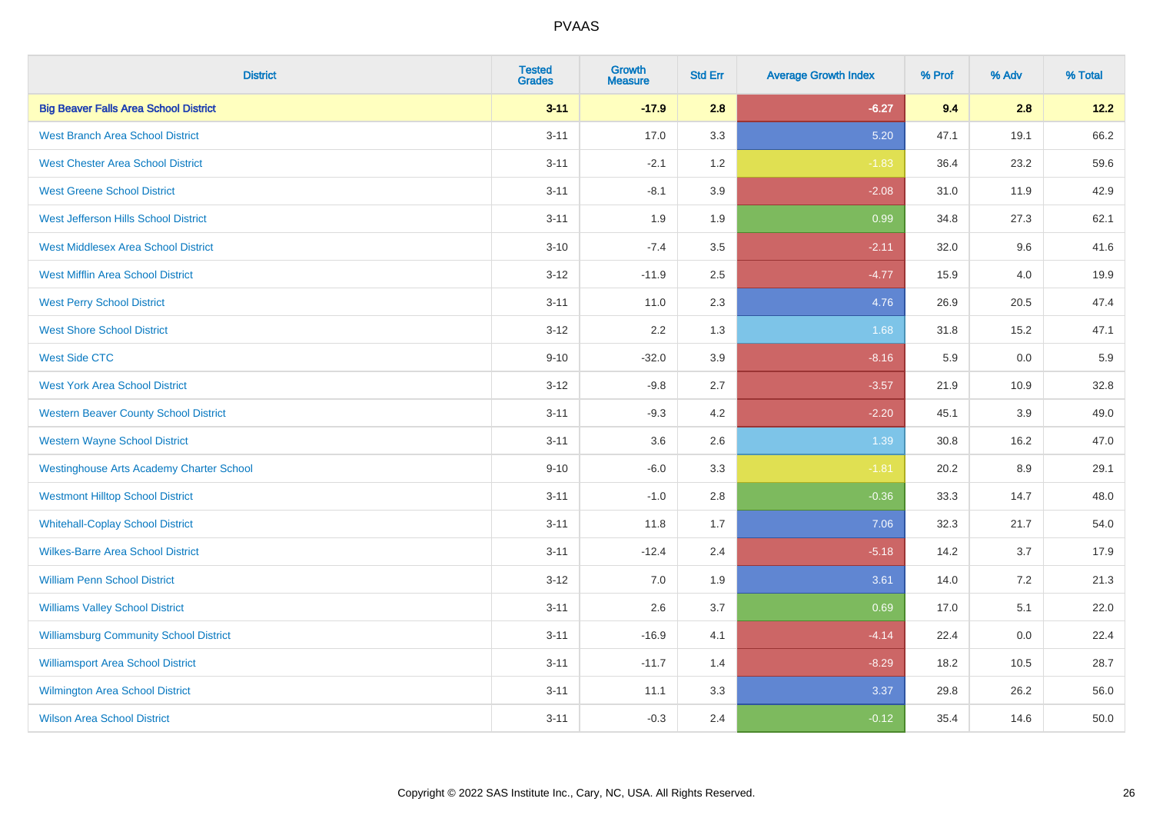| <b>District</b>                                 | <b>Tested</b><br><b>Grades</b> | <b>Growth</b><br><b>Measure</b> | <b>Std Err</b> | <b>Average Growth Index</b> | % Prof | % Adv | % Total |
|-------------------------------------------------|--------------------------------|---------------------------------|----------------|-----------------------------|--------|-------|---------|
| <b>Big Beaver Falls Area School District</b>    | $3 - 11$                       | $-17.9$                         | 2.8            | $-6.27$                     | 9.4    | 2.8   | 12.2    |
| <b>West Branch Area School District</b>         | $3 - 11$                       | 17.0                            | 3.3            | 5.20                        | 47.1   | 19.1  | 66.2    |
| <b>West Chester Area School District</b>        | $3 - 11$                       | $-2.1$                          | 1.2            | $-1.83$                     | 36.4   | 23.2  | 59.6    |
| <b>West Greene School District</b>              | $3 - 11$                       | $-8.1$                          | 3.9            | $-2.08$                     | 31.0   | 11.9  | 42.9    |
| West Jefferson Hills School District            | $3 - 11$                       | 1.9                             | 1.9            | 0.99                        | 34.8   | 27.3  | 62.1    |
| <b>West Middlesex Area School District</b>      | $3 - 10$                       | $-7.4$                          | 3.5            | $-2.11$                     | 32.0   | 9.6   | 41.6    |
| <b>West Mifflin Area School District</b>        | $3 - 12$                       | $-11.9$                         | 2.5            | $-4.77$                     | 15.9   | 4.0   | 19.9    |
| <b>West Perry School District</b>               | $3 - 11$                       | 11.0                            | 2.3            | 4.76                        | 26.9   | 20.5  | 47.4    |
| <b>West Shore School District</b>               | $3 - 12$                       | 2.2                             | 1.3            | 1.68                        | 31.8   | 15.2  | 47.1    |
| <b>West Side CTC</b>                            | $9 - 10$                       | $-32.0$                         | 3.9            | $-8.16$                     | 5.9    | 0.0   | 5.9     |
| <b>West York Area School District</b>           | $3 - 12$                       | $-9.8$                          | 2.7            | $-3.57$                     | 21.9   | 10.9  | 32.8    |
| <b>Western Beaver County School District</b>    | $3 - 11$                       | $-9.3$                          | 4.2            | $-2.20$                     | 45.1   | 3.9   | 49.0    |
| <b>Western Wayne School District</b>            | $3 - 11$                       | 3.6                             | 2.6            | 1.39                        | 30.8   | 16.2  | 47.0    |
| <b>Westinghouse Arts Academy Charter School</b> | $9 - 10$                       | $-6.0$                          | 3.3            | $-1.81$                     | 20.2   | 8.9   | 29.1    |
| <b>Westmont Hilltop School District</b>         | $3 - 11$                       | $-1.0$                          | 2.8            | $-0.36$                     | 33.3   | 14.7  | 48.0    |
| <b>Whitehall-Coplay School District</b>         | $3 - 11$                       | 11.8                            | 1.7            | 7.06                        | 32.3   | 21.7  | 54.0    |
| <b>Wilkes-Barre Area School District</b>        | $3 - 11$                       | $-12.4$                         | 2.4            | $-5.18$                     | 14.2   | 3.7   | 17.9    |
| <b>William Penn School District</b>             | $3 - 12$                       | 7.0                             | 1.9            | 3.61                        | 14.0   | 7.2   | 21.3    |
| <b>Williams Valley School District</b>          | $3 - 11$                       | 2.6                             | 3.7            | 0.69                        | 17.0   | 5.1   | 22.0    |
| <b>Williamsburg Community School District</b>   | $3 - 11$                       | $-16.9$                         | 4.1            | $-4.14$                     | 22.4   | 0.0   | 22.4    |
| <b>Williamsport Area School District</b>        | $3 - 11$                       | $-11.7$                         | 1.4            | $-8.29$                     | 18.2   | 10.5  | 28.7    |
| Wilmington Area School District                 | $3 - 11$                       | 11.1                            | 3.3            | 3.37                        | 29.8   | 26.2  | 56.0    |
| <b>Wilson Area School District</b>              | $3 - 11$                       | $-0.3$                          | 2.4            | $-0.12$                     | 35.4   | 14.6  | 50.0    |